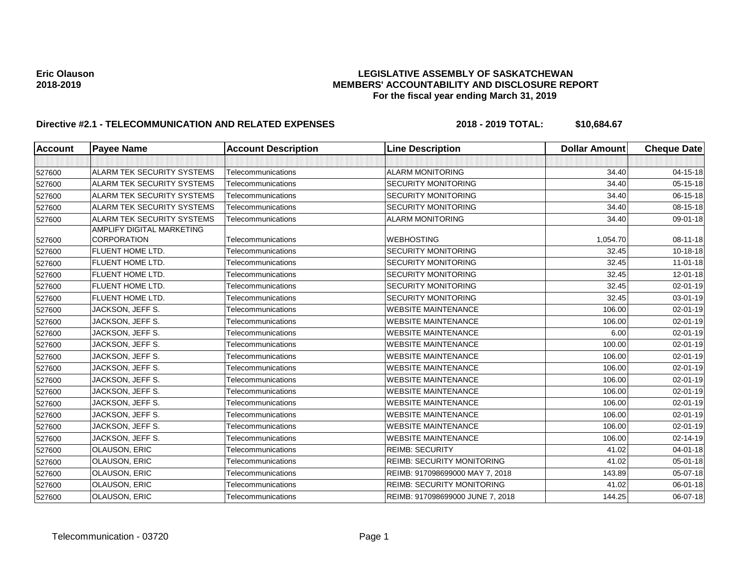| Account | <b>Payee Name</b>                 | <b>Account Description</b> | <b>Line Description</b>           | <b>Dollar Amount</b> | <b>Cheque Date</b> |
|---------|-----------------------------------|----------------------------|-----------------------------------|----------------------|--------------------|
|         |                                   |                            |                                   |                      |                    |
| 527600  | <b>ALARM TEK SECURITY SYSTEMS</b> | Telecommunications         | <b>ALARM MONITORING</b>           | 34.40                | 04-15-18           |
| 527600  | ALARM TEK SECURITY SYSTEMS        | Telecommunications         | <b>SECURITY MONITORING</b>        | 34.40                | $05-15-18$         |
| 527600  | ALARM TEK SECURITY SYSTEMS        | Telecommunications         | <b>SECURITY MONITORING</b>        | 34.40                | 06-15-18           |
| 527600  | ALARM TEK SECURITY SYSTEMS        | Telecommunications         | <b>SECURITY MONITORING</b>        | 34.40                | 08-15-18           |
| 527600  | ALARM TEK SECURITY SYSTEMS        | Telecommunications         | <b>ALARM MONITORING</b>           | 34.40                | 09-01-18           |
|         | <b>AMPLIFY DIGITAL MARKETING</b>  |                            |                                   |                      |                    |
| 527600  | <b>CORPORATION</b>                | Telecommunications         | <b>WEBHOSTING</b>                 | 1,054.70             | 08-11-18           |
| 527600  | FLUENT HOME LTD.                  | Telecommunications         | <b>SECURITY MONITORING</b>        | 32.45                | 10-18-18           |
| 527600  | FLUENT HOME LTD.                  | Telecommunications         | <b>SECURITY MONITORING</b>        | 32.45                | $11 - 01 - 18$     |
| 527600  | FLUENT HOME LTD.                  | Telecommunications         | <b>SECURITY MONITORING</b>        | 32.45                | 12-01-18           |
| 527600  | FLUENT HOME LTD.                  | Telecommunications         | <b>SECURITY MONITORING</b>        | 32.45                | 02-01-19           |
| 527600  | FLUENT HOME LTD.                  | Telecommunications         | <b>SECURITY MONITORING</b>        | 32.45                | 03-01-19           |
| 527600  | JACKSON, JEFF S.                  | Telecommunications         | <b>WEBSITE MAINTENANCE</b>        | 106.00               | 02-01-19           |
| 527600  | JACKSON, JEFF S.                  | Telecommunications         | <b>WEBSITE MAINTENANCE</b>        | 106.00               | 02-01-19           |
| 527600  | JACKSON, JEFF S.                  | Telecommunications         | <b>WEBSITE MAINTENANCE</b>        | 6.00                 | 02-01-19           |
| 527600  | JACKSON, JEFF S.                  | Telecommunications         | <b>WEBSITE MAINTENANCE</b>        | 100.00               | $02 - 01 - 19$     |
| 527600  | JACKSON, JEFF S.                  | Telecommunications         | <b>WEBSITE MAINTENANCE</b>        | 106.00               | $02 - 01 - 19$     |
| 527600  | JACKSON, JEFF S.                  | Telecommunications         | <b>WEBSITE MAINTENANCE</b>        | 106.00               | 02-01-19           |
| 527600  | JACKSON, JEFF S.                  | Telecommunications         | <b>WEBSITE MAINTENANCE</b>        | 106.00               | 02-01-19           |
| 527600  | JACKSON, JEFF S.                  | Telecommunications         | <b>WEBSITE MAINTENANCE</b>        | 106.00               | 02-01-19           |
| 527600  | JACKSON, JEFF S.                  | Telecommunications         | <b>WEBSITE MAINTENANCE</b>        | 106.00               | 02-01-19           |
| 527600  | JACKSON, JEFF S.                  | Telecommunications         | <b>WEBSITE MAINTENANCE</b>        | 106.00               | 02-01-19           |
| 527600  | JACKSON, JEFF S.                  | Telecommunications         | <b>WEBSITE MAINTENANCE</b>        | 106.00               | $02 - 01 - 19$     |
| 527600  | JACKSON, JEFF S.                  | Telecommunications         | <b>WEBSITE MAINTENANCE</b>        | 106.00               | 02-14-19           |
| 527600  | OLAUSON, ERIC                     | Telecommunications         | <b>REIMB: SECURITY</b>            | 41.02                | $04 - 01 - 18$     |
| 527600  | OLAUSON, ERIC                     | Telecommunications         | <b>REIMB: SECURITY MONITORING</b> | 41.02                | 05-01-18           |
| 527600  | <b>OLAUSON, ERIC</b>              | Telecommunications         | REIMB: 917098699000 MAY 7, 2018   | 143.89               | 05-07-18           |
| 527600  | OLAUSON, ERIC                     | Telecommunications         | <b>REIMB: SECURITY MONITORING</b> | 41.02                | 06-01-18           |
| 527600  | OLAUSON, ERIC                     | Telecommunications         | REIMB: 917098699000 JUNE 7, 2018  | 144.25               | 06-07-18           |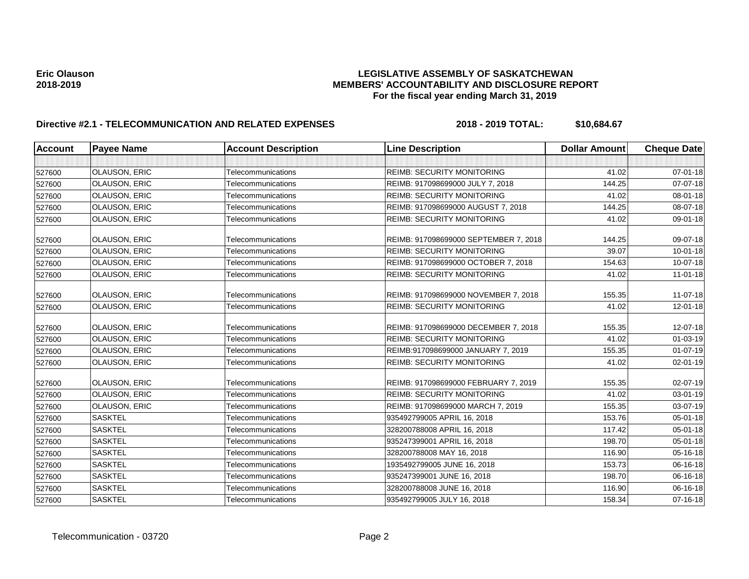| <b>Account</b> | <b>Payee Name</b>    | <b>Account Description</b> | <b>Line Description</b>               | <b>Dollar Amount</b> | <b>Cheque Date</b> |
|----------------|----------------------|----------------------------|---------------------------------------|----------------------|--------------------|
|                |                      |                            |                                       |                      |                    |
| 527600         | <b>OLAUSON, ERIC</b> | Telecommunications         | <b>REIMB: SECURITY MONITORING</b>     | 41.02                | 07-01-18           |
| 527600         | <b>OLAUSON, ERIC</b> | Telecommunications         | REIMB: 917098699000 JULY 7, 2018      | 144.25               | 07-07-18           |
| 527600         | <b>OLAUSON, ERIC</b> | Telecommunications         | <b>REIMB: SECURITY MONITORING</b>     | 41.02                | 08-01-18           |
| 527600         | OLAUSON, ERIC        | Telecommunications         | REIMB: 917098699000 AUGUST 7, 2018    | 144.25               | 08-07-18           |
| 527600         | <b>OLAUSON, ERIC</b> | Telecommunications         | <b>REIMB: SECURITY MONITORING</b>     | 41.02                | 09-01-18           |
| 527600         | <b>OLAUSON, ERIC</b> | Telecommunications         | REIMB: 917098699000 SEPTEMBER 7, 2018 | 144.25               | 09-07-18           |
| 527600         | OLAUSON, ERIC        | Telecommunications         | <b>REIMB: SECURITY MONITORING</b>     | 39.07                | $10 - 01 - 18$     |
| 527600         | <b>OLAUSON, ERIC</b> | Telecommunications         | REIMB: 917098699000 OCTOBER 7, 2018   | 154.63               | 10-07-18           |
| 527600         | <b>OLAUSON, ERIC</b> | Telecommunications         | <b>REIMB: SECURITY MONITORING</b>     | 41.02                | $11-01-18$         |
| 527600         | <b>OLAUSON, ERIC</b> | Telecommunications         | REIMB: 917098699000 NOVEMBER 7, 2018  | 155.35               | 11-07-18           |
| 527600         | OLAUSON, ERIC        | Telecommunications         | <b>REIMB: SECURITY MONITORING</b>     | 41.02                | 12-01-18           |
| 527600         | <b>OLAUSON, ERIC</b> | Telecommunications         | REIMB: 917098699000 DECEMBER 7, 2018  | 155.35               | 12-07-18           |
| 527600         | <b>OLAUSON, ERIC</b> | Telecommunications         | <b>REIMB: SECURITY MONITORING</b>     | 41.02                | 01-03-19           |
| 527600         | <b>OLAUSON, ERIC</b> | Telecommunications         | REIMB:917098699000 JANUARY 7, 2019    | 155.35               | $01 - 07 - 19$     |
| 527600         | <b>OLAUSON, ERIC</b> | Telecommunications         | <b>REIMB: SECURITY MONITORING</b>     | 41.02                | 02-01-19           |
| 527600         | <b>OLAUSON, ERIC</b> | Telecommunications         | REIMB: 917098699000 FEBRUARY 7, 2019  | 155.35               | 02-07-19           |
| 527600         | OLAUSON, ERIC        | Telecommunications         | <b>REIMB: SECURITY MONITORING</b>     | 41.02                | 03-01-19           |
| 527600         | <b>OLAUSON, ERIC</b> | Telecommunications         | REIMB: 917098699000 MARCH 7, 2019     | 155.35               | 03-07-19           |
| 527600         | <b>SASKTEL</b>       | Telecommunications         | 935492799005 APRIL 16, 2018           | 153.76               | 05-01-18           |
| 527600         | <b>SASKTEL</b>       | Telecommunications         | 328200788008 APRIL 16, 2018           | 117.42               | $05 - 01 - 18$     |
| 527600         | <b>SASKTEL</b>       | Telecommunications         | 935247399001 APRIL 16, 2018           | 198.70               | 05-01-18           |
| 527600         | <b>SASKTEL</b>       | Telecommunications         | 328200788008 MAY 16, 2018             | 116.90               | 05-16-18           |
| 527600         | <b>SASKTEL</b>       | Telecommunications         | 1935492799005 JUNE 16, 2018           | 153.73               | 06-16-18           |
| 527600         | <b>SASKTEL</b>       | Telecommunications         | 935247399001 JUNE 16, 2018            | 198.70               | 06-16-18           |
| 527600         | <b>SASKTEL</b>       | Telecommunications         | 328200788008 JUNE 16, 2018            | 116.90               | 06-16-18           |
| 527600         | <b>SASKTEL</b>       | Telecommunications         | 935492799005 JULY 16, 2018            | 158.34               | 07-16-18           |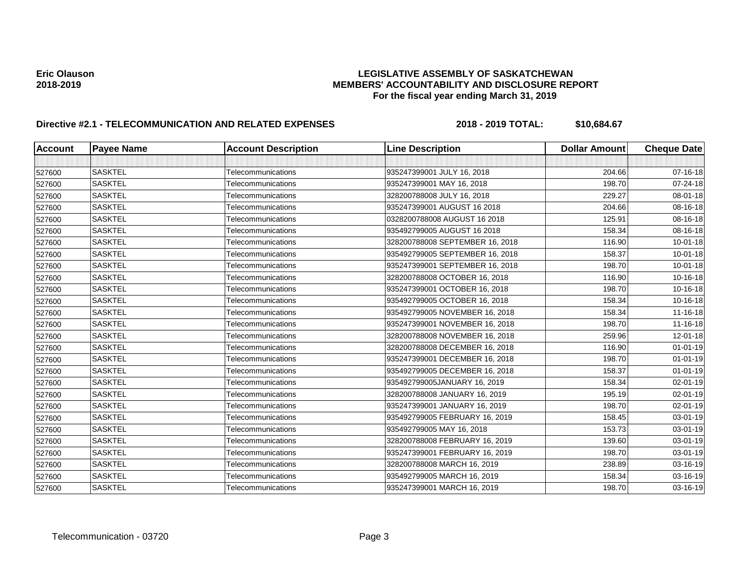| <b>Account</b> | <b>Payee Name</b> | <b>Account Description</b> | <b>Line Description</b>         | <b>Dollar Amount</b> | <b>Cheque Date</b> |
|----------------|-------------------|----------------------------|---------------------------------|----------------------|--------------------|
|                |                   |                            |                                 |                      |                    |
| 527600         | <b>SASKTEL</b>    | Telecommunications         | 935247399001 JULY 16, 2018      | 204.66               | 07-16-18           |
| 527600         | <b>SASKTEL</b>    | Telecommunications         | 935247399001 MAY 16, 2018       | 198.70               | 07-24-18           |
| 527600         | <b>SASKTEL</b>    | Telecommunications         | 328200788008 JULY 16, 2018      | 229.27               | 08-01-18           |
| 527600         | <b>SASKTEL</b>    | Telecommunications         | 935247399001 AUGUST 16 2018     | 204.66               | 08-16-18           |
| 527600         | <b>SASKTEL</b>    | Telecommunications         | 0328200788008 AUGUST 16 2018    | 125.91               | 08-16-18           |
| 527600         | <b>SASKTEL</b>    | Telecommunications         | 935492799005 AUGUST 16 2018     | 158.34               | 08-16-18           |
| 527600         | <b>SASKTEL</b>    | Telecommunications         | 328200788008 SEPTEMBER 16, 2018 | 116.90               | 10-01-18           |
| 527600         | <b>SASKTEL</b>    | Telecommunications         | 935492799005 SEPTEMBER 16, 2018 | 158.37               | $10 - 01 - 18$     |
| 527600         | <b>SASKTEL</b>    | Telecommunications         | 935247399001 SEPTEMBER 16, 2018 | 198.70               | $10 - 01 - 18$     |
| 527600         | <b>SASKTEL</b>    | Telecommunications         | 328200788008 OCTOBER 16, 2018   | 116.90               | 10-16-18           |
| 527600         | <b>SASKTEL</b>    | Telecommunications         | 935247399001 OCTOBER 16, 2018   | 198.70               | 10-16-18           |
| 527600         | <b>SASKTEL</b>    | Telecommunications         | 935492799005 OCTOBER 16, 2018   | 158.34               | 10-16-18           |
| 527600         | <b>SASKTEL</b>    | Telecommunications         | 935492799005 NOVEMBER 16, 2018  | 158.34               | 11-16-18           |
| 527600         | <b>SASKTEL</b>    | Telecommunications         | 935247399001 NOVEMBER 16, 2018  | 198.70               | $11 - 16 - 18$     |
| 527600         | <b>SASKTEL</b>    | Telecommunications         | 328200788008 NOVEMBER 16, 2018  | 259.96               | $12 - 01 - 18$     |
| 527600         | <b>SASKTEL</b>    | Telecommunications         | 328200788008 DECEMBER 16, 2018  | 116.90               | $01 - 01 - 19$     |
| 527600         | <b>SASKTEL</b>    | Telecommunications         | 935247399001 DECEMBER 16, 2018  | 198.70               | $01 - 01 - 19$     |
| 527600         | <b>SASKTEL</b>    | Telecommunications         | 935492799005 DECEMBER 16, 2018  | 158.37               | $01 - 01 - 19$     |
| 527600         | <b>SASKTEL</b>    | Telecommunications         | 935492799005JANUARY 16, 2019    | 158.34               | 02-01-19           |
| 527600         | <b>SASKTEL</b>    | Telecommunications         | 328200788008 JANUARY 16, 2019   | 195.19               | 02-01-19           |
| 527600         | <b>SASKTEL</b>    | Telecommunications         | 935247399001 JANUARY 16, 2019   | 198.70               | 02-01-19           |
| 527600         | <b>SASKTEL</b>    | Telecommunications         | 935492799005 FEBRUARY 16, 2019  | 158.45               | 03-01-19           |
| 527600         | <b>SASKTEL</b>    | Telecommunications         | 935492799005 MAY 16, 2018       | 153.73               | 03-01-19           |
| 527600         | <b>SASKTEL</b>    | Telecommunications         | 328200788008 FEBRUARY 16, 2019  | 139.60               | $03 - 01 - 19$     |
| 527600         | <b>SASKTEL</b>    | Telecommunications         | 935247399001 FEBRUARY 16, 2019  | 198.70               | 03-01-19           |
| 527600         | <b>SASKTEL</b>    | Telecommunications         | 328200788008 MARCH 16, 2019     | 238.89               | 03-16-19           |
| 527600         | <b>SASKTEL</b>    | Telecommunications         | 935492799005 MARCH 16, 2019     | 158.34               | 03-16-19           |
| 527600         | <b>SASKTEL</b>    | Telecommunications         | 935247399001 MARCH 16, 2019     | 198.70               | 03-16-19           |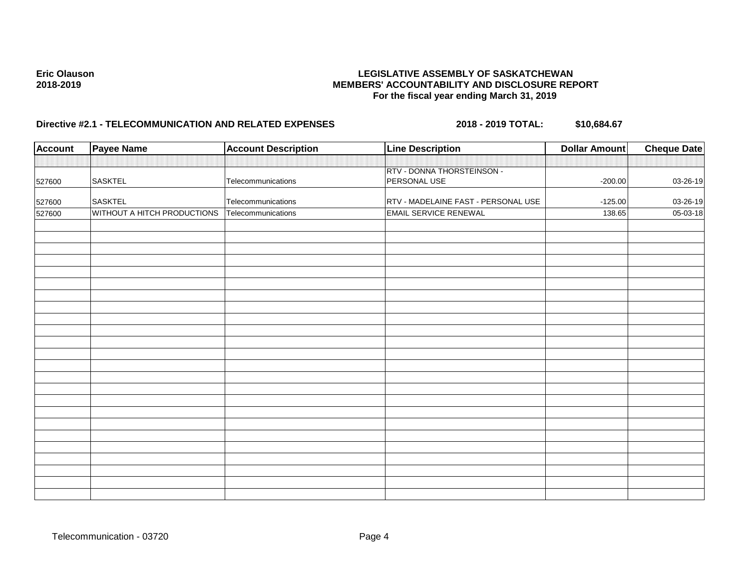| <b>Account</b> | Payee Name                  | <b>Account Description</b> | <b>Line Description</b>             | <b>Dollar Amount</b> | <b>Cheque Date</b> |
|----------------|-----------------------------|----------------------------|-------------------------------------|----------------------|--------------------|
|                |                             |                            |                                     |                      |                    |
|                |                             |                            | RTV - DONNA THORSTEINSON -          |                      |                    |
| 527600         | <b>SASKTEL</b>              | Telecommunications         | PERSONAL USE                        | $-200.00$            | $03 - 26 - 19$     |
| 527600         | <b>SASKTEL</b>              | Telecommunications         | RTV - MADELAINE FAST - PERSONAL USE | $-125.00$            | 03-26-19           |
| 527600         | WITHOUT A HITCH PRODUCTIONS | Telecommunications         | <b>EMAIL SERVICE RENEWAL</b>        | 138.65               | 05-03-18           |
|                |                             |                            |                                     |                      |                    |
|                |                             |                            |                                     |                      |                    |
|                |                             |                            |                                     |                      |                    |
|                |                             |                            |                                     |                      |                    |
|                |                             |                            |                                     |                      |                    |
|                |                             |                            |                                     |                      |                    |
|                |                             |                            |                                     |                      |                    |
|                |                             |                            |                                     |                      |                    |
|                |                             |                            |                                     |                      |                    |
|                |                             |                            |                                     |                      |                    |
|                |                             |                            |                                     |                      |                    |
|                |                             |                            |                                     |                      |                    |
|                |                             |                            |                                     |                      |                    |
|                |                             |                            |                                     |                      |                    |
|                |                             |                            |                                     |                      |                    |
|                |                             |                            |                                     |                      |                    |
|                |                             |                            |                                     |                      |                    |
|                |                             |                            |                                     |                      |                    |
|                |                             |                            |                                     |                      |                    |
|                |                             |                            |                                     |                      |                    |
|                |                             |                            |                                     |                      |                    |
|                |                             |                            |                                     |                      |                    |
|                |                             |                            |                                     |                      |                    |
|                |                             |                            |                                     |                      |                    |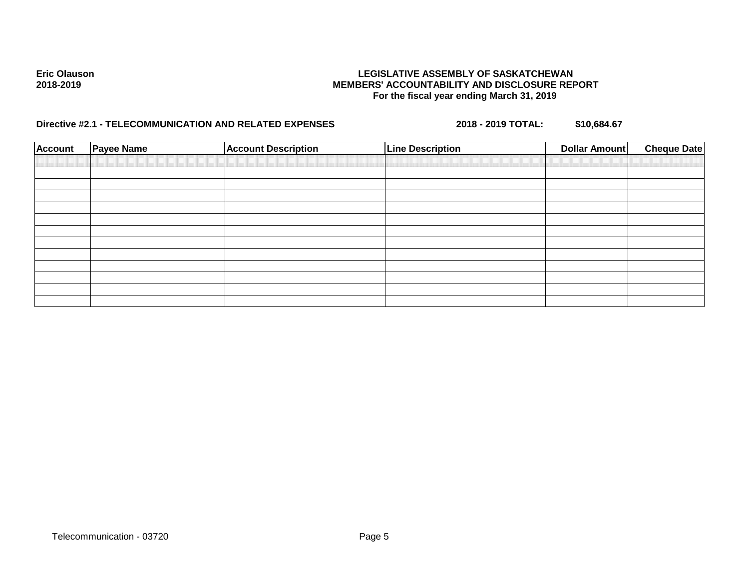| <b>Account</b> | <b>Payee Name</b> | <b>Account Description</b> | <b>Line Description</b> | Dollar Amount | <b>Cheque Date</b> |
|----------------|-------------------|----------------------------|-------------------------|---------------|--------------------|
|                |                   |                            |                         |               |                    |
|                |                   |                            |                         |               |                    |
|                |                   |                            |                         |               |                    |
|                |                   |                            |                         |               |                    |
|                |                   |                            |                         |               |                    |
|                |                   |                            |                         |               |                    |
|                |                   |                            |                         |               |                    |
|                |                   |                            |                         |               |                    |
|                |                   |                            |                         |               |                    |
|                |                   |                            |                         |               |                    |
|                |                   |                            |                         |               |                    |
|                |                   |                            |                         |               |                    |
|                |                   |                            |                         |               |                    |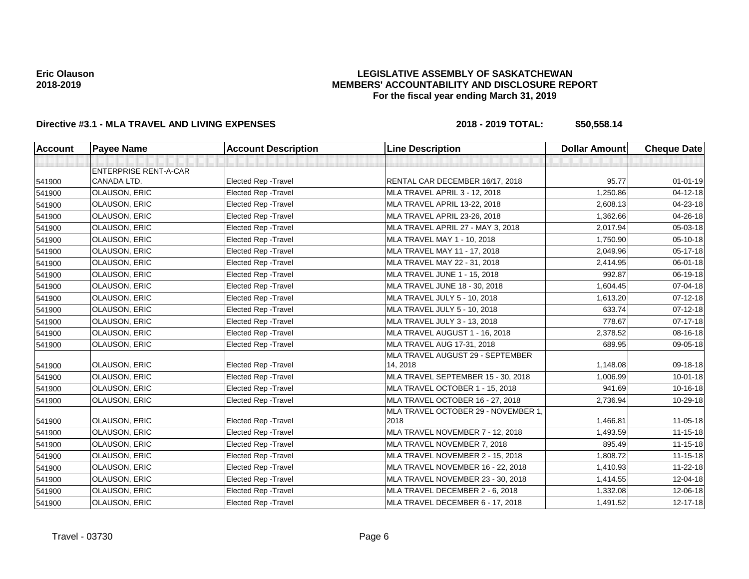## **LEGISLATIVE ASSEMBLY OF SASKATCHEWAN MEMBERS' ACCOUNTABILITY AND DISCLOSURE REPORT For the fiscal year ending March 31, 2019**

| <b>Account</b> | <b>Payee Name</b>            | <b>Account Description</b>  | <b>Line Description</b>             | <b>Dollar Amount</b> | <b>Cheque Date</b> |
|----------------|------------------------------|-----------------------------|-------------------------------------|----------------------|--------------------|
|                |                              |                             |                                     |                      |                    |
|                | <b>ENTERPRISE RENT-A-CAR</b> |                             |                                     |                      |                    |
| 541900         | CANADA LTD.                  | Elected Rep - Travel        | RENTAL CAR DECEMBER 16/17, 2018     | 95.77                | $01 - 01 - 19$     |
| 541900         | OLAUSON, ERIC                | Elected Rep - Travel        | MLA TRAVEL APRIL 3 - 12, 2018       | 1,250.86             | 04-12-18           |
| 541900         | OLAUSON, ERIC                | Elected Rep - Travel        | MLA TRAVEL APRIL 13-22, 2018        | 2,608.13             | 04-23-18           |
| 541900         | <b>OLAUSON, ERIC</b>         | <b>Elected Rep - Travel</b> | MLA TRAVEL APRIL 23-26, 2018        | 1,362.66             | 04-26-18           |
| 541900         | <b>OLAUSON, ERIC</b>         | Elected Rep - Travel        | MLA TRAVEL APRIL 27 - MAY 3, 2018   | 2,017.94             | 05-03-18           |
| 541900         | OLAUSON, ERIC                | <b>Elected Rep - Travel</b> | MLA TRAVEL MAY 1 - 10, 2018         | 1,750.90             | 05-10-18           |
| 541900         | <b>OLAUSON, ERIC</b>         | <b>Elected Rep - Travel</b> | MLA TRAVEL MAY 11 - 17, 2018        | 2,049.96             | $05 - 17 - 18$     |
| 541900         | <b>OLAUSON, ERIC</b>         | Elected Rep - Travel        | MLA TRAVEL MAY 22 - 31, 2018        | 2,414.95             | 06-01-18           |
| 541900         | <b>OLAUSON, ERIC</b>         | Elected Rep - Travel        | MLA TRAVEL JUNE 1 - 15, 2018        | 992.87               | 06-19-18           |
| 541900         | OLAUSON, ERIC                | <b>Elected Rep - Travel</b> | MLA TRAVEL JUNE 18 - 30, 2018       | 1,604.45             | 07-04-18           |
| 541900         | <b>OLAUSON, ERIC</b>         | <b>Elected Rep - Travel</b> | MLA TRAVEL JULY 5 - 10, 2018        | 1,613.20             | 07-12-18           |
| 541900         | <b>OLAUSON, ERIC</b>         | <b>Elected Rep - Travel</b> | MLA TRAVEL JULY 5 - 10, 2018        | 633.74               | $07 - 12 - 18$     |
| 541900         | <b>OLAUSON, ERIC</b>         | <b>Elected Rep - Travel</b> | MLA TRAVEL JULY 3 - 13, 2018        | 778.67               | $07 - 17 - 18$     |
| 541900         | <b>OLAUSON, ERIC</b>         | <b>Elected Rep - Travel</b> | MLA TRAVEL AUGUST 1 - 16, 2018      | 2,378.52             | 08-16-18           |
| 541900         | <b>OLAUSON, ERIC</b>         | Elected Rep - Travel        | MLA TRAVEL AUG 17-31, 2018          | 689.95               | 09-05-18           |
|                |                              |                             | MLA TRAVEL AUGUST 29 - SEPTEMBER    |                      |                    |
| 541900         | <b>OLAUSON, ERIC</b>         | <b>Elected Rep - Travel</b> | 14, 2018                            | 1,148.08             | 09-18-18           |
| 541900         | OLAUSON, ERIC                | <b>Elected Rep - Travel</b> | MLA TRAVEL SEPTEMBER 15 - 30, 2018  | 1,006.99             | $10 - 01 - 18$     |
| 541900         | OLAUSON, ERIC                | Elected Rep - Travel        | MLA TRAVEL OCTOBER 1 - 15, 2018     | 941.69               | $10-16-18$         |
| 541900         | <b>OLAUSON, ERIC</b>         | <b>Elected Rep - Travel</b> | MLA TRAVEL OCTOBER 16 - 27, 2018    | 2,736.94             | 10-29-18           |
|                |                              |                             | MLA TRAVEL OCTOBER 29 - NOVEMBER 1, |                      |                    |
| 541900         | <b>OLAUSON, ERIC</b>         | <b>Elected Rep - Travel</b> | 2018                                | 1,466.81             | 11-05-18           |
| 541900         | <b>OLAUSON, ERIC</b>         | Elected Rep - Travel        | MLA TRAVEL NOVEMBER 7 - 12, 2018    | 1,493.59             | $11 - 15 - 18$     |
| 541900         | OLAUSON, ERIC                | <b>Elected Rep - Travel</b> | MLA TRAVEL NOVEMBER 7, 2018         | 895.49               | $11 - 15 - 18$     |
| 541900         | <b>OLAUSON, ERIC</b>         | Elected Rep - Travel        | MLA TRAVEL NOVEMBER 2 - 15, 2018    | 1,808.72             | $11 - 15 - 18$     |
| 541900         | <b>OLAUSON, ERIC</b>         | Elected Rep - Travel        | MLA TRAVEL NOVEMBER 16 - 22, 2018   | 1,410.93             | 11-22-18           |
| 541900         | <b>OLAUSON, ERIC</b>         | <b>Elected Rep - Travel</b> | MLA TRAVEL NOVEMBER 23 - 30, 2018   | 1,414.55             | 12-04-18           |
| 541900         | OLAUSON, ERIC                | Elected Rep - Travel        | MLA TRAVEL DECEMBER 2 - 6, 2018     | 1,332.08             | 12-06-18           |
| 541900         | <b>OLAUSON, ERIC</b>         | Elected Rep - Travel        | MLA TRAVEL DECEMBER 6 - 17, 2018    | 1,491.52             | $12 - 17 - 18$     |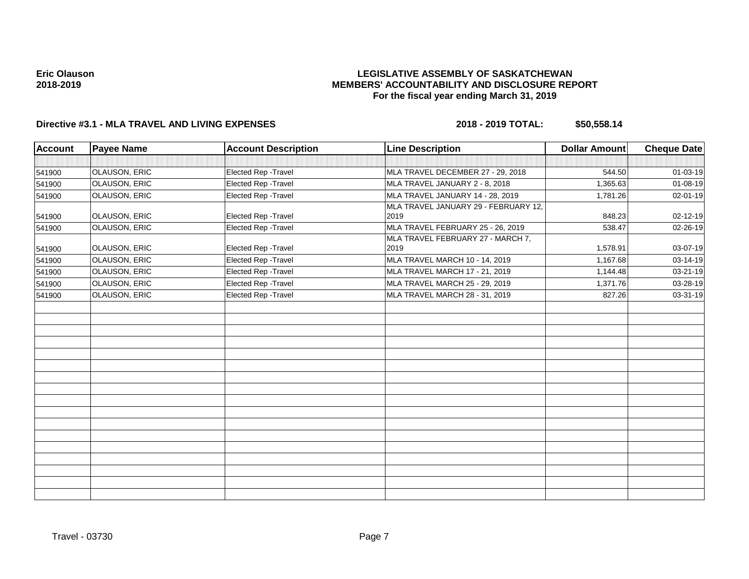## **LEGISLATIVE ASSEMBLY OF SASKATCHEWAN MEMBERS' ACCOUNTABILITY AND DISCLOSURE REPORT For the fiscal year ending March 31, 2019**

| <b>Account</b> | <b>Payee Name</b>    | <b>Account Description</b> | <b>Line Description</b>                      | <b>Dollar Amount</b> | <b>Cheque Date</b> |
|----------------|----------------------|----------------------------|----------------------------------------------|----------------------|--------------------|
|                |                      |                            |                                              |                      |                    |
| 541900         | <b>OLAUSON, ERIC</b> | Elected Rep - Travel       | MLA TRAVEL DECEMBER 27 - 29, 2018            | 544.50               | 01-03-19           |
| 541900         | <b>OLAUSON, ERIC</b> | Elected Rep - Travel       | MLA TRAVEL JANUARY 2 - 8, 2018               | 1,365.63             | 01-08-19           |
| 541900         | OLAUSON, ERIC        | Elected Rep - Travel       | MLA TRAVEL JANUARY 14 - 28, 2019             | 1,781.26             | 02-01-19           |
| 541900         | <b>OLAUSON, ERIC</b> | Elected Rep - Travel       | MLA TRAVEL JANUARY 29 - FEBRUARY 12,<br>2019 | 848.23               | $02 - 12 - 19$     |
| 541900         | <b>OLAUSON, ERIC</b> | Elected Rep - Travel       | MLA TRAVEL FEBRUARY 25 - 26, 2019            | 538.47               | 02-26-19           |
| 541900         | OLAUSON, ERIC        | Elected Rep - Travel       | MLA TRAVEL FEBRUARY 27 - MARCH 7,<br>2019    | 1,578.91             | 03-07-19           |
| 541900         | OLAUSON, ERIC        | Elected Rep - Travel       | MLA TRAVEL MARCH 10 - 14, 2019               | 1,167.68             | $03 - 14 - 19$     |
| 541900         | <b>OLAUSON, ERIC</b> | Elected Rep - Travel       | <b>MLA TRAVEL MARCH 17 - 21, 2019</b>        | 1,144.48             | 03-21-19           |
| 541900         | OLAUSON, ERIC        | Elected Rep - Travel       | MLA TRAVEL MARCH 25 - 29, 2019               | 1,371.76             | 03-28-19           |
| 541900         | OLAUSON, ERIC        | Elected Rep - Travel       | MLA TRAVEL MARCH 28 - 31, 2019               | 827.26               | 03-31-19           |
|                |                      |                            |                                              |                      |                    |
|                |                      |                            |                                              |                      |                    |
|                |                      |                            |                                              |                      |                    |
|                |                      |                            |                                              |                      |                    |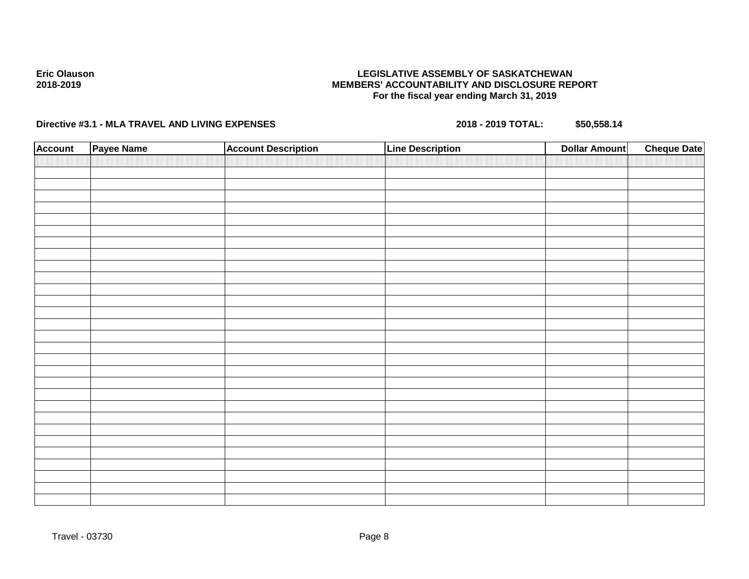## **LEGISLATIVE ASSEMBLY OF SASKATCHEWAN MEMBERS' ACCOUNTABILITY AND DISCLOSURE REPORT For the fiscal year ending March 31, 2019**

| <b>Account</b> | Payee Name | <b>Account Description</b> | <b>Line Description</b> | <b>Dollar Amount</b> | <b>Cheque Date</b> |
|----------------|------------|----------------------------|-------------------------|----------------------|--------------------|
|                |            |                            |                         |                      |                    |
|                |            |                            |                         |                      |                    |
|                |            |                            |                         |                      |                    |
|                |            |                            |                         |                      |                    |
|                |            |                            |                         |                      |                    |
|                |            |                            |                         |                      |                    |
|                |            |                            |                         |                      |                    |
|                |            |                            |                         |                      |                    |
|                |            |                            |                         |                      |                    |
|                |            |                            |                         |                      |                    |
|                |            |                            |                         |                      |                    |
|                |            |                            |                         |                      |                    |
|                |            |                            |                         |                      |                    |
|                |            |                            |                         |                      |                    |
|                |            |                            |                         |                      |                    |
|                |            |                            |                         |                      |                    |
|                |            |                            |                         |                      |                    |
|                |            |                            |                         |                      |                    |
|                |            |                            |                         |                      |                    |
|                |            |                            |                         |                      |                    |
|                |            |                            |                         |                      |                    |
|                |            |                            |                         |                      |                    |
|                |            |                            |                         |                      |                    |
|                |            |                            |                         |                      |                    |
|                |            |                            |                         |                      |                    |
|                |            |                            |                         |                      |                    |
|                |            |                            |                         |                      |                    |
|                |            |                            |                         |                      |                    |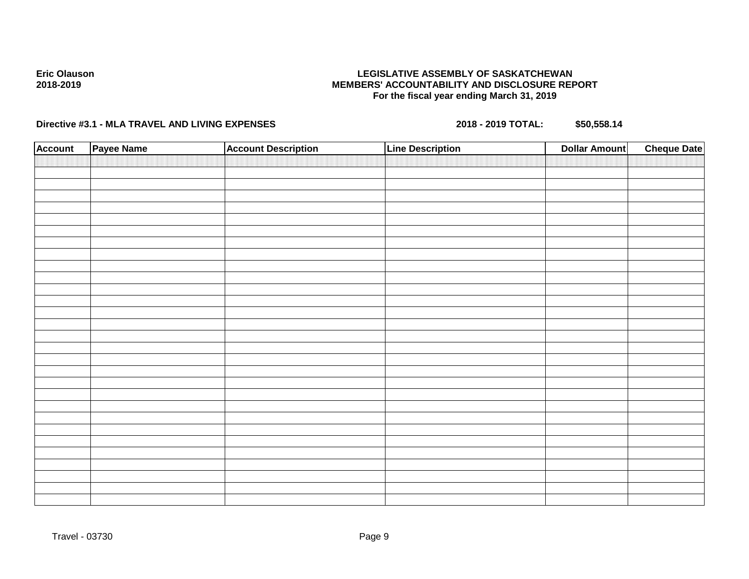## **LEGISLATIVE ASSEMBLY OF SASKATCHEWAN MEMBERS' ACCOUNTABILITY AND DISCLOSURE REPORT For the fiscal year ending March 31, 2019**

| <b>Account</b> | Payee Name | <b>Account Description</b> | <b>Line Description</b> | <b>Dollar Amount</b> | <b>Cheque Date</b> |
|----------------|------------|----------------------------|-------------------------|----------------------|--------------------|
|                |            |                            |                         |                      |                    |
|                |            |                            |                         |                      |                    |
|                |            |                            |                         |                      |                    |
|                |            |                            |                         |                      |                    |
|                |            |                            |                         |                      |                    |
|                |            |                            |                         |                      |                    |
|                |            |                            |                         |                      |                    |
|                |            |                            |                         |                      |                    |
|                |            |                            |                         |                      |                    |
|                |            |                            |                         |                      |                    |
|                |            |                            |                         |                      |                    |
|                |            |                            |                         |                      |                    |
|                |            |                            |                         |                      |                    |
|                |            |                            |                         |                      |                    |
|                |            |                            |                         |                      |                    |
|                |            |                            |                         |                      |                    |
|                |            |                            |                         |                      |                    |
|                |            |                            |                         |                      |                    |
|                |            |                            |                         |                      |                    |
|                |            |                            |                         |                      |                    |
|                |            |                            |                         |                      |                    |
|                |            |                            |                         |                      |                    |
|                |            |                            |                         |                      |                    |
|                |            |                            |                         |                      |                    |
|                |            |                            |                         |                      |                    |
|                |            |                            |                         |                      |                    |
|                |            |                            |                         |                      |                    |
|                |            |                            |                         |                      |                    |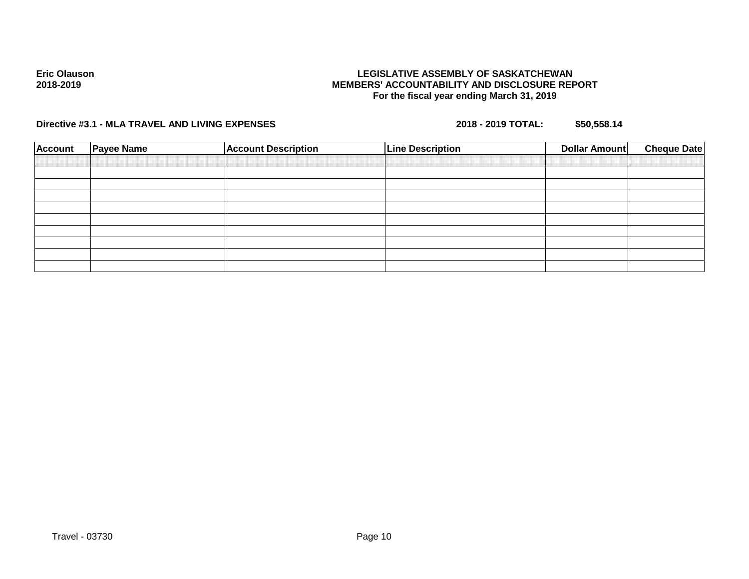## **LEGISLATIVE ASSEMBLY OF SASKATCHEWAN MEMBERS' ACCOUNTABILITY AND DISCLOSURE REPORT For the fiscal year ending March 31, 2019**

| <b>Account</b> | <b>Payee Name</b> | <b>Account Description</b> | <b>Line Description</b> | <b>Cheque Date</b><br><b>Dollar Amount</b> |
|----------------|-------------------|----------------------------|-------------------------|--------------------------------------------|
|                |                   |                            |                         |                                            |
|                |                   |                            |                         |                                            |
|                |                   |                            |                         |                                            |
|                |                   |                            |                         |                                            |
|                |                   |                            |                         |                                            |
|                |                   |                            |                         |                                            |
|                |                   |                            |                         |                                            |
|                |                   |                            |                         |                                            |
|                |                   |                            |                         |                                            |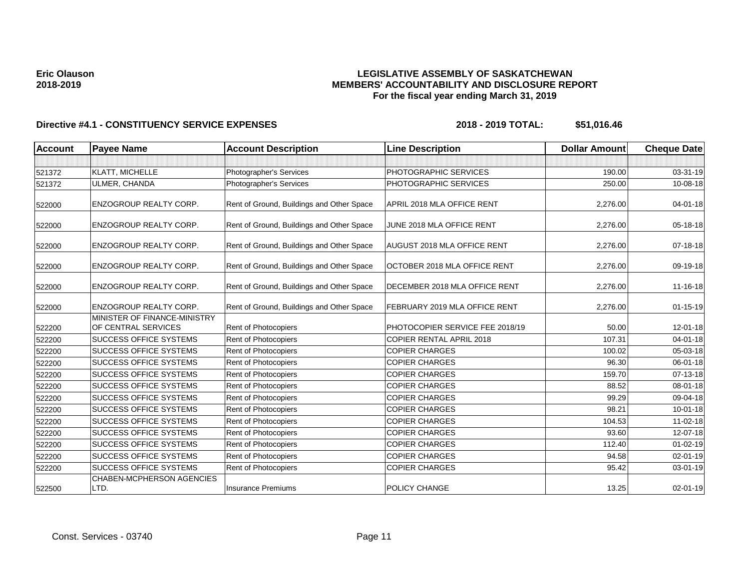## **LEGISLATIVE ASSEMBLY OF SASKATCHEWAN MEMBERS' ACCOUNTABILITY AND DISCLOSURE REPORT For the fiscal year ending March 31, 2019**

| <b>Account</b> | <b>Payee Name</b>                                   | <b>Account Description</b>                | <b>Line Description</b>            | <b>Dollar Amount</b> | <b>Cheque Date</b> |
|----------------|-----------------------------------------------------|-------------------------------------------|------------------------------------|----------------------|--------------------|
|                |                                                     |                                           |                                    |                      |                    |
| 521372         | KLATT, MICHELLE                                     | Photographer's Services                   | PHOTOGRAPHIC SERVICES              | 190.00               | 03-31-19           |
| 521372         | ULMER, CHANDA                                       | Photographer's Services                   | PHOTOGRAPHIC SERVICES              | 250.00               | 10-08-18           |
| 522000         | <b>ENZOGROUP REALTY CORP.</b>                       | Rent of Ground, Buildings and Other Space | APRIL 2018 MLA OFFICE RENT         | 2,276.00             | $04 - 01 - 18$     |
| 522000         | <b>ENZOGROUP REALTY CORP.</b>                       | Rent of Ground, Buildings and Other Space | JUNE 2018 MLA OFFICE RENT          | 2,276.00             | 05-18-18           |
| 522000         | <b>ENZOGROUP REALTY CORP.</b>                       | Rent of Ground, Buildings and Other Space | <b>AUGUST 2018 MLA OFFICE RENT</b> | 2,276.00             | 07-18-18           |
| 522000         | <b>ENZOGROUP REALTY CORP.</b>                       | Rent of Ground, Buildings and Other Space | OCTOBER 2018 MLA OFFICE RENT       | 2.276.00             | 09-19-18           |
| 522000         | <b>ENZOGROUP REALTY CORP.</b>                       | Rent of Ground, Buildings and Other Space | DECEMBER 2018 MLA OFFICE RENT      | 2,276.00             | 11-16-18           |
| 522000         | <b>ENZOGROUP REALTY CORP.</b>                       | Rent of Ground, Buildings and Other Space | FEBRUARY 2019 MLA OFFICE RENT      | 2,276.00             | $01 - 15 - 19$     |
| 522200         | MINISTER OF FINANCE-MINISTRY<br>OF CENTRAL SERVICES | Rent of Photocopiers                      | PHOTOCOPIER SERVICE FEE 2018/19    | 50.00                | 12-01-18           |
| 522200         | <b>SUCCESS OFFICE SYSTEMS</b>                       | Rent of Photocopiers                      | COPIER RENTAL APRIL 2018           | 107.31               | $04 - 01 - 18$     |
| 522200         | <b>SUCCESS OFFICE SYSTEMS</b>                       | Rent of Photocopiers                      | <b>COPIER CHARGES</b>              | 100.02               | 05-03-18           |
| 522200         | <b>SUCCESS OFFICE SYSTEMS</b>                       | Rent of Photocopiers                      | <b>COPIER CHARGES</b>              | 96.30                | 06-01-18           |
| 522200         | <b>SUCCESS OFFICE SYSTEMS</b>                       | Rent of Photocopiers                      | <b>COPIER CHARGES</b>              | 159.70               | 07-13-18           |
| 522200         | <b>SUCCESS OFFICE SYSTEMS</b>                       | Rent of Photocopiers                      | <b>COPIER CHARGES</b>              | 88.52                | 08-01-18           |
| 522200         | <b>SUCCESS OFFICE SYSTEMS</b>                       | Rent of Photocopiers                      | <b>COPIER CHARGES</b>              | 99.29                | 09-04-18           |
| 522200         | <b>SUCCESS OFFICE SYSTEMS</b>                       | Rent of Photocopiers                      | <b>COPIER CHARGES</b>              | 98.21                | $10-01-18$         |
| 522200         | <b>SUCCESS OFFICE SYSTEMS</b>                       | Rent of Photocopiers                      | <b>COPIER CHARGES</b>              | 104.53               | $11 - 02 - 18$     |
| 522200         | <b>SUCCESS OFFICE SYSTEMS</b>                       | Rent of Photocopiers                      | <b>COPIER CHARGES</b>              | 93.60                | 12-07-18           |
| 522200         | <b>SUCCESS OFFICE SYSTEMS</b>                       | Rent of Photocopiers                      | <b>COPIER CHARGES</b>              | 112.40               | $01 - 02 - 19$     |
| 522200         | <b>SUCCESS OFFICE SYSTEMS</b>                       | Rent of Photocopiers                      | <b>COPIER CHARGES</b>              | 94.58                | $02 - 01 - 19$     |
| 522200         | <b>SUCCESS OFFICE SYSTEMS</b>                       | Rent of Photocopiers                      | <b>COPIER CHARGES</b>              | 95.42                | 03-01-19           |
| 522500         | <b>CHABEN-MCPHERSON AGENCIES</b><br>LTD.            | Insurance Premiums                        | <b>POLICY CHANGE</b>               | 13.25                | 02-01-19           |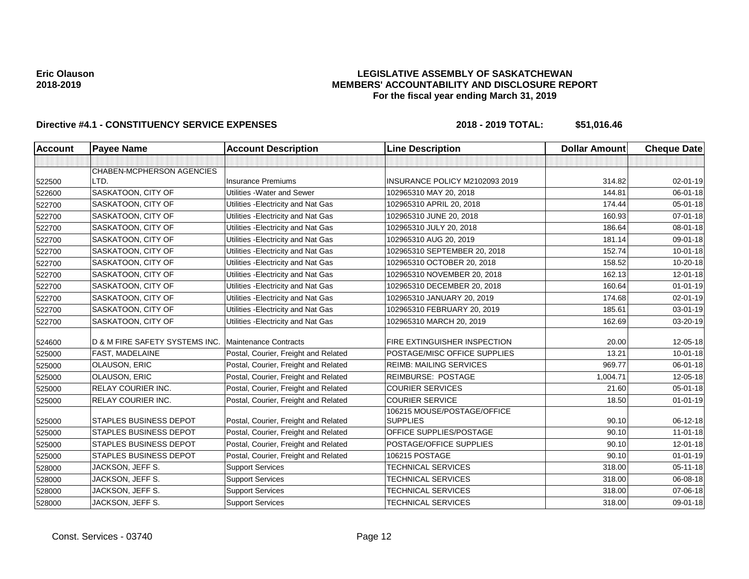## **LEGISLATIVE ASSEMBLY OF SASKATCHEWAN MEMBERS' ACCOUNTABILITY AND DISCLOSURE REPORT For the fiscal year ending March 31, 2019**

| <b>Account</b> | <b>Payee Name</b>              | <b>Account Description</b>           | <b>Line Description</b>        | <b>Dollar Amount</b> | <b>Cheque Date</b> |
|----------------|--------------------------------|--------------------------------------|--------------------------------|----------------------|--------------------|
|                |                                |                                      |                                |                      |                    |
|                | CHABEN-MCPHERSON AGENCIES      |                                      |                                |                      |                    |
| 522500         | LTD.                           | <b>Insurance Premiums</b>            | INSURANCE POLICY M2102093 2019 | 314.82               | 02-01-19           |
| 522600         | SASKATOON, CITY OF             | Utilities - Water and Sewer          | 102965310 MAY 20, 2018         | 144.81               | 06-01-18           |
| 522700         | SASKATOON, CITY OF             | Utilities - Electricity and Nat Gas  | 102965310 APRIL 20, 2018       | 174.44               | 05-01-18           |
| 522700         | SASKATOON, CITY OF             | Utilities - Electricity and Nat Gas  | 102965310 JUNE 20, 2018        | 160.93               | $07 - 01 - 18$     |
| 522700         | SASKATOON, CITY OF             | Utilities - Electricity and Nat Gas  | 102965310 JULY 20, 2018        | 186.64               | 08-01-18           |
| 522700         | <b>SASKATOON, CITY OF</b>      | Utilities - Electricity and Nat Gas  | 102965310 AUG 20, 2019         | 181.14               | 09-01-18           |
| 522700         | SASKATOON, CITY OF             | Utilities - Electricity and Nat Gas  | 102965310 SEPTEMBER 20, 2018   | 152.74               | $10 - 01 - 18$     |
| 522700         | SASKATOON, CITY OF             | Utilities - Electricity and Nat Gas  | 102965310 OCTOBER 20, 2018     | 158.52               | 10-20-18           |
| 522700         | SASKATOON, CITY OF             | Utilities - Electricity and Nat Gas  | 102965310 NOVEMBER 20, 2018    | 162.13               | 12-01-18           |
| 522700         | SASKATOON, CITY OF             | Utilities - Electricity and Nat Gas  | 102965310 DECEMBER 20, 2018    | 160.64               | $01 - 01 - 19$     |
| 522700         | SASKATOON, CITY OF             | Utilities - Electricity and Nat Gas  | 102965310 JANUARY 20, 2019     | 174.68               | 02-01-19           |
| 522700         | SASKATOON, CITY OF             | Utilities - Electricity and Nat Gas  | 102965310 FEBRUARY 20, 2019    | 185.61               | 03-01-19           |
| 522700         | SASKATOON, CITY OF             | Utilities - Electricity and Nat Gas  | 102965310 MARCH 20, 2019       | 162.69               | 03-20-19           |
| 524600         | D & M FIRE SAFETY SYSTEMS INC. | Maintenance Contracts                | FIRE EXTINGUISHER INSPECTION   | 20.00                | 12-05-18           |
| 525000         | FAST, MADELAINE                | Postal, Courier, Freight and Related | POSTAGE/MISC OFFICE SUPPLIES   | 13.21                | $10 - 01 - 18$     |
| 525000         | <b>OLAUSON, ERIC</b>           | Postal, Courier, Freight and Related | <b>REIMB: MAILING SERVICES</b> | 969.77               | 06-01-18           |
| 525000         | OLAUSON, ERIC                  | Postal, Courier, Freight and Related | <b>REIMBURSE: POSTAGE</b>      | 1,004.71             | 12-05-18           |
|                | RELAY COURIER INC.             | Postal, Courier, Freight and Related | <b>COURIER SERVICES</b>        | 21.60                | 05-01-18           |
| 525000         | RELAY COURIER INC.             | Postal, Courier, Freight and Related | <b>COURIER SERVICE</b>         | 18.50                | $01 - 01 - 19$     |
| 525000         |                                |                                      | 106215 MOUSE/POSTAGE/OFFICE    |                      |                    |
| 525000         | <b>STAPLES BUSINESS DEPOT</b>  | Postal, Courier, Freight and Related | <b>SUPPLIES</b>                | 90.10                | 06-12-18           |
| 525000         | <b>STAPLES BUSINESS DEPOT</b>  | Postal, Courier, Freight and Related | OFFICE SUPPLIES/POSTAGE        | 90.10                | $11-01-18$         |
| 525000         | <b>STAPLES BUSINESS DEPOT</b>  | Postal, Courier, Freight and Related | POSTAGE/OFFICE SUPPLIES        | 90.10                | 12-01-18           |
| 525000         | <b>STAPLES BUSINESS DEPOT</b>  | Postal, Courier, Freight and Related | 106215 POSTAGE                 | 90.10                | $01 - 01 - 19$     |
| 528000         | JACKSON, JEFF S.               | <b>Support Services</b>              | <b>TECHNICAL SERVICES</b>      | 318.00               | $05 - 11 - 18$     |
| 528000         | JACKSON, JEFF S.               | <b>Support Services</b>              | <b>TECHNICAL SERVICES</b>      | 318.00               | 06-08-18           |
| 528000         | JACKSON, JEFF S.               | <b>Support Services</b>              | <b>TECHNICAL SERVICES</b>      | 318.00               | 07-06-18           |
| 528000         | JACKSON, JEFF S.               | <b>Support Services</b>              | <b>TECHNICAL SERVICES</b>      | 318.00               | 09-01-18           |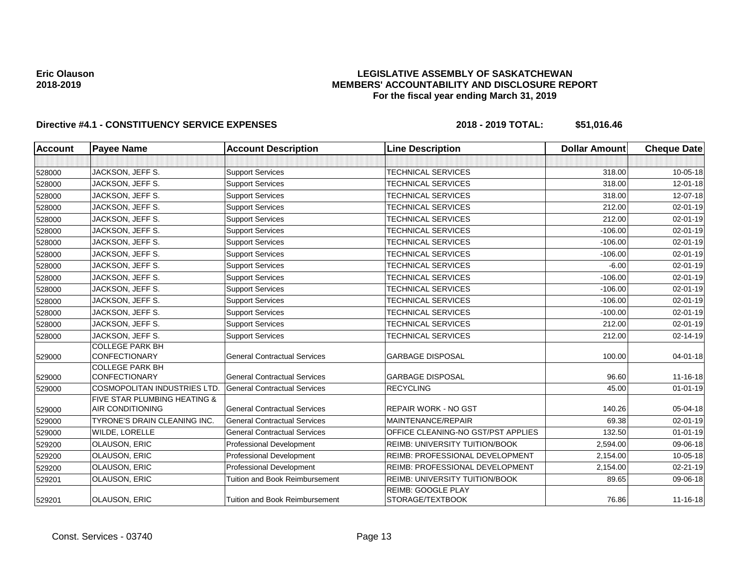## **LEGISLATIVE ASSEMBLY OF SASKATCHEWAN MEMBERS' ACCOUNTABILITY AND DISCLOSURE REPORT For the fiscal year ending March 31, 2019**

| <b>Account</b> | <b>Payee Name</b>                                                  | <b>Account Description</b>            | <b>Line Description</b>                       | <b>Dollar Amount</b> | <b>Cheque Date</b> |
|----------------|--------------------------------------------------------------------|---------------------------------------|-----------------------------------------------|----------------------|--------------------|
|                |                                                                    |                                       |                                               |                      |                    |
| 528000         | JACKSON, JEFF S.                                                   | <b>Support Services</b>               | <b>TECHNICAL SERVICES</b>                     | 318.00               | 10-05-18           |
| 528000         | JACKSON, JEFF S.                                                   | <b>Support Services</b>               | TECHNICAL SERVICES                            | 318.00               | 12-01-18           |
| 528000         | JACKSON, JEFF S.                                                   | <b>Support Services</b>               | TECHNICAL SERVICES                            | 318.00               | 12-07-18           |
| 528000         | JACKSON, JEFF S.                                                   | <b>Support Services</b>               | TECHNICAL SERVICES                            | 212.00               | 02-01-19           |
| 528000         | JACKSON, JEFF S.                                                   | <b>Support Services</b>               | TECHNICAL SERVICES                            | 212.00               | 02-01-19           |
| 528000         | JACKSON, JEFF S.                                                   | <b>Support Services</b>               | TECHNICAL SERVICES                            | $-106.00$            | 02-01-19           |
| 528000         | JACKSON, JEFF S.                                                   | <b>Support Services</b>               | <b>TECHNICAL SERVICES</b>                     | $-106.00$            | $02 - 01 - 19$     |
| 528000         | JACKSON, JEFF S.                                                   | <b>Support Services</b>               | <b>TECHNICAL SERVICES</b>                     | $-106.00$            | 02-01-19           |
| 528000         | JACKSON, JEFF S.                                                   | <b>Support Services</b>               | <b>TECHNICAL SERVICES</b>                     | $-6.00$              | 02-01-19           |
| 528000         | JACKSON, JEFF S.                                                   | <b>Support Services</b>               | <b>TECHNICAL SERVICES</b>                     | $-106.00$            | 02-01-19           |
| 528000         | JACKSON, JEFF S.                                                   | <b>Support Services</b>               | <b>TECHNICAL SERVICES</b>                     | $-106.00$            | $02 - 01 - 19$     |
| 528000         | JACKSON, JEFF S.                                                   | <b>Support Services</b>               | <b>TECHNICAL SERVICES</b>                     | $-106.00$            | 02-01-19           |
| 528000         | JACKSON, JEFF S.                                                   | <b>Support Services</b>               | TECHNICAL SERVICES                            | $-100.00$            | 02-01-19           |
| 528000         | JACKSON, JEFF S.                                                   | <b>Support Services</b>               | TECHNICAL SERVICES                            | 212.00               | 02-01-19           |
| 528000         | JACKSON, JEFF S.                                                   | <b>Support Services</b>               | TECHNICAL SERVICES                            | 212.00               | 02-14-19           |
|                | <b>COLLEGE PARK BH</b>                                             |                                       |                                               |                      |                    |
| 529000         | <b>CONFECTIONARY</b>                                               | <b>General Contractual Services</b>   | <b>GARBAGE DISPOSAL</b>                       | 100.00               | $04 - 01 - 18$     |
|                | <b>COLLEGE PARK BH</b>                                             |                                       |                                               |                      |                    |
| 529000         | <b>CONFECTIONARY</b>                                               | <b>General Contractual Services</b>   | <b>GARBAGE DISPOSAL</b>                       | 96.60                | 11-16-18           |
| 529000         | <b>COSMOPOLITAN INDUSTRIES LTD.</b>                                | <b>General Contractual Services</b>   | <b>RECYCLING</b>                              | 45.00                | $01 - 01 - 19$     |
|                | <b>FIVE STAR PLUMBING HEATING &amp;</b><br><b>AIR CONDITIONING</b> | <b>General Contractual Services</b>   | <b>REPAIR WORK - NO GST</b>                   | 140.26               | 05-04-18           |
| 529000         | <b>TYRONE'S DRAIN CLEANING INC.</b>                                | <b>General Contractual Services</b>   | MAINTENANCE/REPAIR                            | 69.38                | 02-01-19           |
| 529000         |                                                                    |                                       |                                               |                      |                    |
| 529000         | <b>WILDE, LORELLE</b>                                              | <b>General Contractual Services</b>   | OFFICE CLEANING-NO GST/PST APPLIES            | 132.50               | $01 - 01 - 19$     |
| 529200         | <b>OLAUSON, ERIC</b>                                               | <b>Professional Development</b>       | REIMB: UNIVERSITY TUITION/BOOK                | 2,594.00             | 09-06-18           |
| 529200         | <b>OLAUSON, ERIC</b>                                               | Professional Development              | <b>REIMB: PROFESSIONAL DEVELOPMENT</b>        | 2,154.00             | 10-05-18           |
| 529200         | OLAUSON, ERIC                                                      | Professional Development              | REIMB: PROFESSIONAL DEVELOPMENT               | 2,154.00             | 02-21-19           |
| 529201         | <b>OLAUSON, ERIC</b>                                               | <b>Tuition and Book Reimbursement</b> | REIMB: UNIVERSITY TUITION/BOOK                | 89.65                | 09-06-18           |
| 529201         | <b>OLAUSON, ERIC</b>                                               | Tuition and Book Reimbursement        | <b>REIMB: GOOGLE PLAY</b><br>STORAGE/TEXTBOOK | 76.86                | 11-16-18           |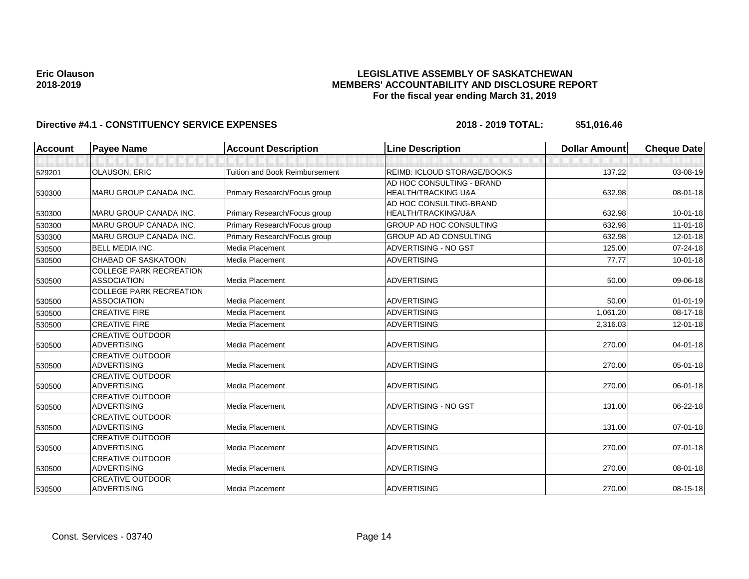## **LEGISLATIVE ASSEMBLY OF SASKATCHEWAN MEMBERS' ACCOUNTABILITY AND DISCLOSURE REPORT For the fiscal year ending March 31, 2019**

| <b>Account</b> | <b>Payee Name</b>                             | <b>Account Description</b>            | <b>Line Description</b>            | <b>Dollar Amount</b> | <b>Cheque Date</b> |
|----------------|-----------------------------------------------|---------------------------------------|------------------------------------|----------------------|--------------------|
|                |                                               |                                       |                                    |                      |                    |
| 529201         | OLAUSON, ERIC                                 | <b>Tuition and Book Reimbursement</b> | <b>REIMB: ICLOUD STORAGE/BOOKS</b> | 137.22               | 03-08-19           |
|                |                                               |                                       | AD HOC CONSULTING - BRAND          |                      |                    |
| 530300         | MARU GROUP CANADA INC.                        | Primary Research/Focus group          | <b>HEALTH/TRACKING U&amp;A</b>     | 632.98               | 08-01-18           |
|                |                                               |                                       | AD HOC CONSULTING-BRAND            |                      |                    |
| 530300         | <b>MARU GROUP CANADA INC.</b>                 | Primary Research/Focus group          | HEALTH/TRACKING/U&A                | 632.98               | $10 - 01 - 18$     |
| 530300         | <b>MARU GROUP CANADA INC.</b>                 | Primary Research/Focus group          | <b>GROUP AD HOC CONSULTING</b>     | 632.98               | $11-01-18$         |
| 530300         | MARU GROUP CANADA INC.                        | Primary Research/Focus group          | <b>GROUP AD AD CONSULTING</b>      | 632.98               | 12-01-18           |
| 530500         | <b>BELL MEDIA INC.</b>                        | Media Placement                       | <b>ADVERTISING - NO GST</b>        | 125.00               | 07-24-18           |
| 530500         | <b>CHABAD OF SASKATOON</b>                    | Media Placement                       | <b>ADVERTISING</b>                 | 77.77                | 10-01-18           |
|                | <b>COLLEGE PARK RECREATION</b>                |                                       |                                    |                      |                    |
| 530500         | <b>ASSOCIATION</b>                            | Media Placement                       | <b>ADVERTISING</b>                 | 50.00                | 09-06-18           |
|                | <b>COLLEGE PARK RECREATION</b>                |                                       |                                    |                      |                    |
| 530500         | <b>ASSOCIATION</b>                            | Media Placement                       | <b>ADVERTISING</b>                 | 50.00                | $01 - 01 - 19$     |
| 530500         | <b>CREATIVE FIRE</b>                          | Media Placement                       | <b>ADVERTISING</b>                 | 1.061.20             | 08-17-18           |
| 530500         | <b>CREATIVE FIRE</b>                          | Media Placement                       | <b>ADVERTISING</b>                 | 2,316.03             | 12-01-18           |
|                | <b>CREATIVE OUTDOOR</b>                       |                                       |                                    |                      |                    |
| 530500         | <b>ADVERTISING</b>                            | Media Placement                       | <b>ADVERTISING</b>                 | 270.00               | 04-01-18           |
|                | <b>CREATIVE OUTDOOR</b>                       |                                       |                                    |                      |                    |
| 530500         | <b>ADVERTISING</b>                            | Media Placement                       | <b>ADVERTISING</b>                 | 270.00               | 05-01-18           |
|                | <b>CREATIVE OUTDOOR</b>                       |                                       |                                    |                      |                    |
| 530500         | <b>ADVERTISING</b>                            | Media Placement                       | <b>ADVERTISING</b>                 | 270.00               | 06-01-18           |
|                | <b>CREATIVE OUTDOOR</b><br><b>ADVERTISING</b> | Media Placement                       | <b>ADVERTISING - NO GST</b>        | 131.00               | 06-22-18           |
| 530500         | <b>CREATIVE OUTDOOR</b>                       |                                       |                                    |                      |                    |
| 530500         | <b>ADVERTISING</b>                            | Media Placement                       | <b>ADVERTISING</b>                 | 131.00               | 07-01-18           |
|                | <b>CREATIVE OUTDOOR</b>                       |                                       |                                    |                      |                    |
| 530500         | <b>ADVERTISING</b>                            | Media Placement                       | <b>ADVERTISING</b>                 | 270.00               | 07-01-18           |
|                | <b>CREATIVE OUTDOOR</b>                       |                                       |                                    |                      |                    |
| 530500         | <b>ADVERTISING</b>                            | Media Placement                       | <b>ADVERTISING</b>                 | 270.00               | 08-01-18           |
|                | <b>CREATIVE OUTDOOR</b>                       |                                       |                                    |                      |                    |
| 530500         | <b>ADVERTISING</b>                            | Media Placement                       | <b>ADVERTISING</b>                 | 270.00               | $08-15-18$         |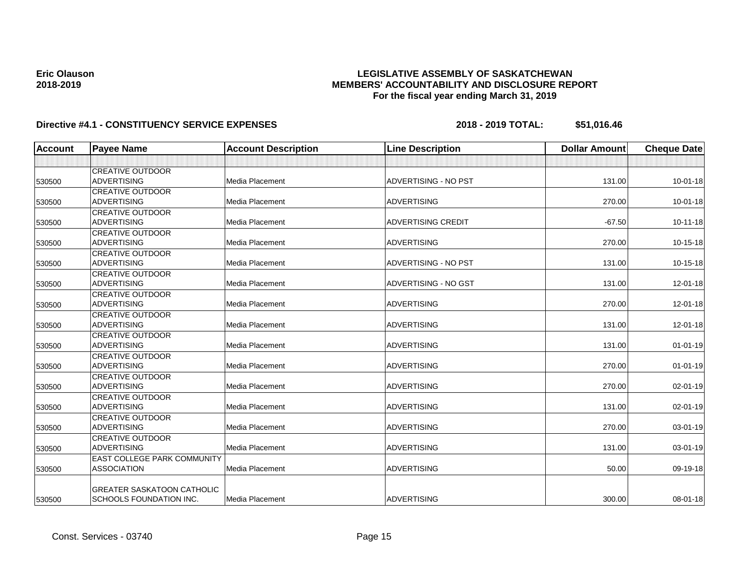## **LEGISLATIVE ASSEMBLY OF SASKATCHEWAN MEMBERS' ACCOUNTABILITY AND DISCLOSURE REPORT For the fiscal year ending March 31, 2019**

| <b>Account</b> | <b>Payee Name</b>                  | <b>Account Description</b> | <b>Line Description</b>     | <b>Dollar Amount</b> | <b>Cheque Date</b> |
|----------------|------------------------------------|----------------------------|-----------------------------|----------------------|--------------------|
|                |                                    |                            |                             |                      |                    |
|                | <b>CREATIVE OUTDOOR</b>            |                            |                             |                      |                    |
| 530500         | <b>ADVERTISING</b>                 | Media Placement            | <b>ADVERTISING - NO PST</b> | 131.00               | $10 - 01 - 18$     |
|                | <b>CREATIVE OUTDOOR</b>            |                            |                             |                      |                    |
| 530500         | ADVERTISING                        | Media Placement            | <b>ADVERTISING</b>          | 270.00               | $10 - 01 - 18$     |
|                | <b>CREATIVE OUTDOOR</b>            |                            |                             |                      |                    |
| 530500         | <b>ADVERTISING</b>                 | Media Placement            | <b>ADVERTISING CREDIT</b>   | $-67.50$             | $10 - 11 - 18$     |
|                | <b>CREATIVE OUTDOOR</b>            |                            |                             |                      |                    |
| 530500         | <b>ADVERTISING</b>                 | Media Placement            | <b>ADVERTISING</b>          | 270.00               | $10-15-18$         |
|                | <b>CREATIVE OUTDOOR</b>            |                            |                             |                      |                    |
| 530500         | <b>ADVERTISING</b>                 | Media Placement            | <b>ADVERTISING - NO PST</b> | 131.00               | $10-15-18$         |
|                | <b>CREATIVE OUTDOOR</b>            |                            |                             |                      |                    |
| 530500         | <b>ADVERTISING</b>                 | Media Placement            | ADVERTISING - NO GST        | 131.00               | $12 - 01 - 18$     |
|                | <b>CREATIVE OUTDOOR</b>            |                            |                             |                      |                    |
| 530500         | ADVERTISING                        | Media Placement            | <b>ADVERTISING</b>          | 270.00               | $12 - 01 - 18$     |
|                | <b>CREATIVE OUTDOOR</b>            |                            |                             |                      |                    |
| 530500         | <b>ADVERTISING</b>                 | Media Placement            | <b>ADVERTISING</b>          | 131.00               | $12 - 01 - 18$     |
|                | <b>CREATIVE OUTDOOR</b>            |                            |                             |                      |                    |
| 530500         | ADVERTISING                        | Media Placement            | <b>ADVERTISING</b>          | 131.00               | $01 - 01 - 19$     |
|                | <b>CREATIVE OUTDOOR</b>            |                            |                             |                      |                    |
| 530500         | <b>ADVERTISING</b>                 | <b>Media Placement</b>     | <b>ADVERTISING</b>          | 270.00               | $01 - 01 - 19$     |
|                | <b>CREATIVE OUTDOOR</b>            |                            |                             |                      |                    |
| 530500         | <b>ADVERTISING</b>                 | Media Placement            | <b>ADVERTISING</b>          | 270.00               | $02 - 01 - 19$     |
|                | <b>CREATIVE OUTDOOR</b>            |                            |                             |                      |                    |
| 530500         | <b>ADVERTISING</b>                 | Media Placement            | <b>ADVERTISING</b>          | 131.00               | 02-01-19           |
|                | <b>CREATIVE OUTDOOR</b>            |                            |                             |                      |                    |
| 530500         | ADVERTISING                        | Media Placement            | <b>ADVERTISING</b>          | 270.00               | $03 - 01 - 19$     |
|                | <b>CREATIVE OUTDOOR</b>            |                            |                             |                      |                    |
| 530500         | <b>ADVERTISING</b>                 | <b>Media Placement</b>     | <b>ADVERTISING</b>          | 131.00               | 03-01-19           |
|                | <b>EAST COLLEGE PARK COMMUNITY</b> |                            |                             |                      |                    |
| 530500         | <b>ASSOCIATION</b>                 | Media Placement            | <b>ADVERTISING</b>          | 50.00                | 09-19-18           |
|                | <b>GREATER SASKATOON CATHOLIC</b>  |                            |                             |                      |                    |
| 530500         | <b>SCHOOLS FOUNDATION INC.</b>     | Media Placement            | <b>ADVERTISING</b>          | 300.00               | $08 - 01 - 18$     |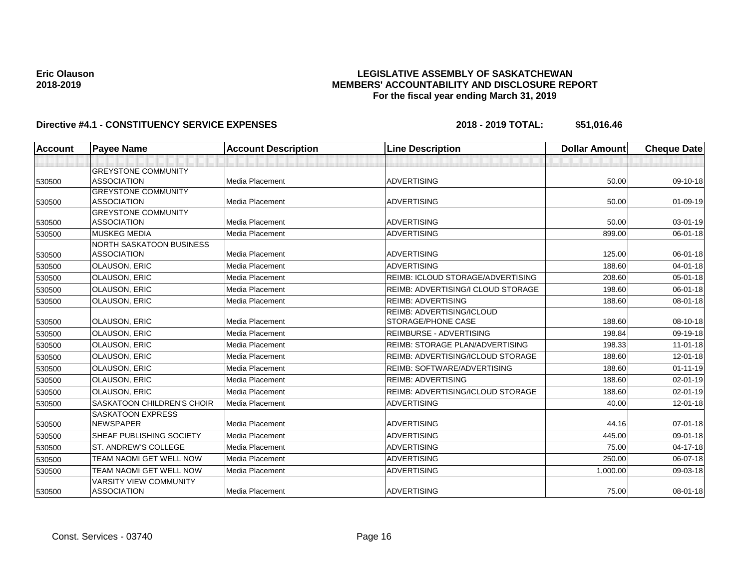## **LEGISLATIVE ASSEMBLY OF SASKATCHEWAN MEMBERS' ACCOUNTABILITY AND DISCLOSURE REPORT For the fiscal year ending March 31, 2019**

| <b>Account</b> | <b>Payee Name</b>                 | <b>Account Description</b> | <b>Line Description</b>                  | <b>Dollar Amount</b> | <b>Cheque Date</b> |
|----------------|-----------------------------------|----------------------------|------------------------------------------|----------------------|--------------------|
|                |                                   |                            |                                          |                      |                    |
|                | <b>GREYSTONE COMMUNITY</b>        |                            |                                          |                      |                    |
| 530500         | <b>ASSOCIATION</b>                | Media Placement            | <b>ADVERTISING</b>                       | 50.00                | 09-10-18           |
|                | <b>GREYSTONE COMMUNITY</b>        |                            |                                          |                      |                    |
| 530500         | <b>ASSOCIATION</b>                | Media Placement            | <b>ADVERTISING</b>                       | 50.00                | $01-09-19$         |
|                | <b>GREYSTONE COMMUNITY</b>        |                            |                                          |                      |                    |
| 530500         | <b>ASSOCIATION</b>                | Media Placement            | <b>ADVERTISING</b>                       | 50.00                | $03 - 01 - 19$     |
| 530500         | <b>MUSKEG MEDIA</b>               | <b>Media Placement</b>     | <b>ADVERTISING</b>                       | 899.00               | $06 - 01 - 18$     |
|                | NORTH SASKATOON BUSINESS          |                            |                                          |                      |                    |
| 530500         | <b>ASSOCIATION</b>                | Media Placement            | <b>ADVERTISING</b>                       | 125.00               | 06-01-18           |
| 530500         | <b>OLAUSON, ERIC</b>              | <b>Media Placement</b>     | <b>ADVERTISING</b>                       | 188.60               | 04-01-18           |
| 530500         | <b>OLAUSON, ERIC</b>              | <b>Media Placement</b>     | <b>REIMB: ICLOUD STORAGE/ADVERTISING</b> | 208.60               | 05-01-18           |
| 530500         | <b>OLAUSON, ERIC</b>              | Media Placement            | REIMB: ADVERTISING/I CLOUD STORAGE       | 198.60               | 06-01-18           |
| 530500         | <b>OLAUSON, ERIC</b>              | <b>Media Placement</b>     | <b>REIMB: ADVERTISING</b>                | 188.60               | 08-01-18           |
|                |                                   |                            | <b>REIMB: ADVERTISING/ICLOUD</b>         |                      |                    |
| 530500         | <b>OLAUSON, ERIC</b>              | Media Placement            | STORAGE/PHONE CASE                       | 188.60               | 08-10-18           |
| 530500         | <b>OLAUSON, ERIC</b>              | Media Placement            | <b>REIMBURSE - ADVERTISING</b>           | 198.84               | 09-19-18           |
| 530500         | <b>OLAUSON, ERIC</b>              | Media Placement            | <b>REIMB: STORAGE PLAN/ADVERTISING</b>   | 198.33               | $11-01-18$         |
| 530500         | <b>OLAUSON, ERIC</b>              | Media Placement            | REIMB: ADVERTISING/ICLOUD STORAGE        | 188.60               | $12 - 01 - 18$     |
| 530500         | <b>OLAUSON, ERIC</b>              | Media Placement            | <b>REIMB: SOFTWARE/ADVERTISING</b>       | 188.60               | $01 - 11 - 19$     |
| 530500         | <b>OLAUSON, ERIC</b>              | Media Placement            | <b>REIMB: ADVERTISING</b>                | 188.60               | $02 - 01 - 19$     |
| 530500         | <b>OLAUSON, ERIC</b>              | Media Placement            | <b>REIMB: ADVERTISING/ICLOUD STORAGE</b> | 188.60               | $02 - 01 - 19$     |
| 530500         | <b>SASKATOON CHILDREN'S CHOIR</b> | <b>Media Placement</b>     | <b>ADVERTISING</b>                       | 40.00                | 12-01-18           |
|                | <b>SASKATOON EXPRESS</b>          |                            |                                          |                      |                    |
| 530500         | <b>NEWSPAPER</b>                  | Media Placement            | <b>ADVERTISING</b>                       | 44.16                | $07 - 01 - 18$     |
| 530500         | <b>SHEAF PUBLISHING SOCIETY</b>   | Media Placement            | <b>ADVERTISING</b>                       | 445.00               | 09-01-18           |
| 530500         | ST. ANDREW'S COLLEGE              | Media Placement            | <b>ADVERTISING</b>                       | 75.00                | 04-17-18           |
| 530500         | TEAM NAOMI GET WELL NOW           | <b>Media Placement</b>     | <b>ADVERTISING</b>                       | 250.00               | 06-07-18           |
| 530500         | TEAM NAOMI GET WELL NOW           | Media Placement            | <b>ADVERTISING</b>                       | 1,000.00             | 09-03-18           |
|                | <b>VARSITY VIEW COMMUNITY</b>     |                            |                                          |                      |                    |
| 530500         | <b>ASSOCIATION</b>                | Media Placement            | <b>ADVERTISING</b>                       | 75.00                | 08-01-18           |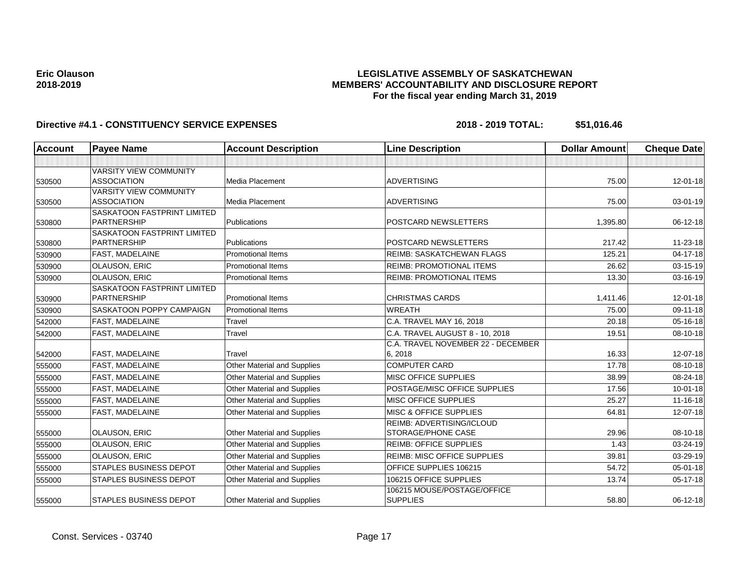## **LEGISLATIVE ASSEMBLY OF SASKATCHEWAN MEMBERS' ACCOUNTABILITY AND DISCLOSURE REPORT For the fiscal year ending March 31, 2019**

| Account | <b>Payee Name</b>                                 | <b>Account Description</b>         | <b>Line Description</b>            | <b>Dollar Amount</b> | <b>Cheque Date</b> |
|---------|---------------------------------------------------|------------------------------------|------------------------------------|----------------------|--------------------|
|         |                                                   |                                    |                                    |                      |                    |
|         | <b>VARSITY VIEW COMMUNITY</b>                     |                                    |                                    |                      |                    |
| 530500  | <b>ASSOCIATION</b>                                | Media Placement                    | <b>ADVERTISING</b>                 | 75.00                | $12 - 01 - 18$     |
|         | <b>VARSITY VIEW COMMUNITY</b>                     |                                    |                                    |                      |                    |
| 530500  | <b>ASSOCIATION</b>                                | Media Placement                    | <b>ADVERTISING</b>                 | 75.00                | 03-01-19           |
|         | <b>SASKATOON FASTPRINT LIMITED</b>                |                                    |                                    |                      |                    |
| 530800  | PARTNERSHIP                                       | Publications                       | POSTCARD NEWSLETTERS               | 1,395.80             | 06-12-18           |
|         | SASKATOON FASTPRINT LIMITED<br><b>PARTNERSHIP</b> | Publications                       | POSTCARD NEWSLETTERS               | 217.42               | 11-23-18           |
| 530800  |                                                   | <b>Promotional Items</b>           |                                    | 125.21               | $04 - 17 - 18$     |
| 530900  | <b>FAST, MADELAINE</b>                            |                                    | <b>REIMB: SASKATCHEWAN FLAGS</b>   |                      |                    |
| 530900  | <b>OLAUSON, ERIC</b>                              | <b>Promotional Items</b>           | <b>REIMB: PROMOTIONAL ITEMS</b>    | 26.62                | 03-15-19           |
| 530900  | <b>OLAUSON, ERIC</b>                              | <b>Promotional Items</b>           | <b>REIMB: PROMOTIONAL ITEMS</b>    | 13.30                | 03-16-19           |
|         | <b>SASKATOON FASTPRINT LIMITED</b>                |                                    |                                    |                      |                    |
| 530900  | PARTNERSHIP                                       | <b>Promotional Items</b>           | <b>CHRISTMAS CARDS</b>             | 1.411.46             | $12 - 01 - 18$     |
| 530900  | SASKATOON POPPY CAMPAIGN                          | <b>Promotional Items</b>           | <b>WREATH</b>                      | 75.00                | 09-11-18           |
| 542000  | <b>FAST, MADELAINE</b>                            | Travel                             | C.A. TRAVEL MAY 16, 2018           | 20.18                | 05-16-18           |
| 542000  | <b>FAST, MADELAINE</b>                            | Travel                             | C.A. TRAVEL AUGUST 8 - 10, 2018    | 19.51                | 08-10-18           |
|         |                                                   |                                    | C.A. TRAVEL NOVEMBER 22 - DECEMBER |                      |                    |
| 542000  | <b>FAST. MADELAINE</b>                            | Travel                             | 6, 2018                            | 16.33                | 12-07-18           |
| 555000  | <b>FAST, MADELAINE</b>                            | Other Material and Supplies        | <b>COMPUTER CARD</b>               | 17.78                | 08-10-18           |
| 555000  | <b>FAST, MADELAINE</b>                            | Other Material and Supplies        | <b>MISC OFFICE SUPPLIES</b>        | 38.99                | 08-24-18           |
| 555000  | <b>FAST, MADELAINE</b>                            | Other Material and Supplies        | POSTAGE/MISC OFFICE SUPPLIES       | 17.56                | $10 - 01 - 18$     |
| 555000  | <b>FAST, MADELAINE</b>                            | Other Material and Supplies        | <b>MISC OFFICE SUPPLIES</b>        | 25.27                | $11 - 16 - 18$     |
| 555000  | <b>FAST, MADELAINE</b>                            | Other Material and Supplies        | <b>MISC &amp; OFFICE SUPPLIES</b>  | 64.81                | 12-07-18           |
|         |                                                   |                                    | <b>REIMB: ADVERTISING/ICLOUD</b>   |                      |                    |
| 555000  | <b>OLAUSON, ERIC</b>                              | <b>Other Material and Supplies</b> | <b>STORAGE/PHONE CASE</b>          | 29.96                | 08-10-18           |
| 555000  | <b>OLAUSON, ERIC</b>                              | <b>Other Material and Supplies</b> | <b>REIMB: OFFICE SUPPLIES</b>      | 1.43                 | 03-24-19           |
| 555000  | <b>OLAUSON, ERIC</b>                              | Other Material and Supplies        | <b>REIMB: MISC OFFICE SUPPLIES</b> | 39.81                | 03-29-19           |
| 555000  | <b>STAPLES BUSINESS DEPOT</b>                     | <b>Other Material and Supplies</b> | OFFICE SUPPLIES 106215             | 54.72                | 05-01-18           |
| 555000  | <b>STAPLES BUSINESS DEPOT</b>                     | Other Material and Supplies        | 106215 OFFICE SUPPLIES             | 13.74                | $05 - 17 - 18$     |
|         |                                                   |                                    | 106215 MOUSE/POSTAGE/OFFICE        |                      |                    |
| 555000  | <b>STAPLES BUSINESS DEPOT</b>                     | <b>Other Material and Supplies</b> | <b>SUPPLIES</b>                    | 58.80                | $06-12-18$         |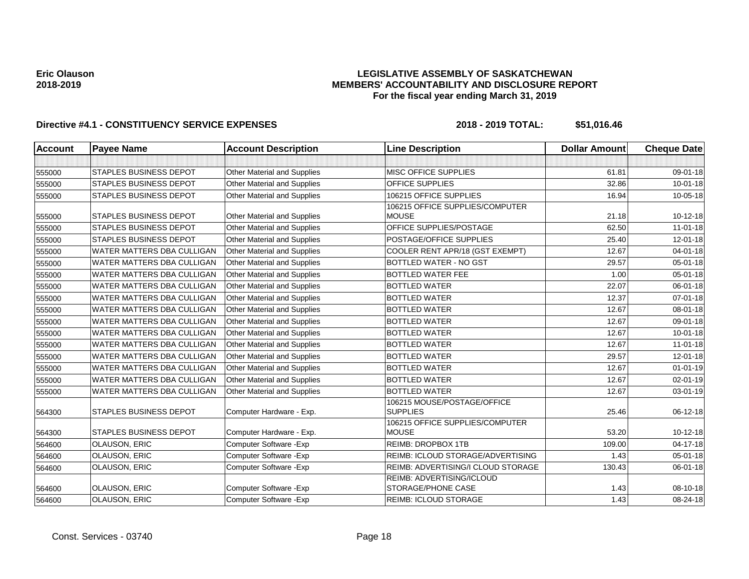## **LEGISLATIVE ASSEMBLY OF SASKATCHEWAN MEMBERS' ACCOUNTABILITY AND DISCLOSURE REPORT For the fiscal year ending March 31, 2019**

| <b>Account</b> | <b>Payee Name</b>                 | <b>Account Description</b>         | <b>Line Description</b>                         | <b>Dollar Amount</b> | <b>Cheque Date</b> |
|----------------|-----------------------------------|------------------------------------|-------------------------------------------------|----------------------|--------------------|
|                |                                   |                                    |                                                 |                      |                    |
| 555000         | <b>STAPLES BUSINESS DEPOT</b>     | Other Material and Supplies        | <b>MISC OFFICE SUPPLIES</b>                     | 61.81                | 09-01-18           |
| 555000         | <b>STAPLES BUSINESS DEPOT</b>     | <b>Other Material and Supplies</b> | OFFICE SUPPLIES                                 | 32.86                | $10 - 01 - 18$     |
| 555000         | <b>STAPLES BUSINESS DEPOT</b>     | Other Material and Supplies        | 106215 OFFICE SUPPLIES                          | 16.94                | 10-05-18           |
| 555000         | <b>STAPLES BUSINESS DEPOT</b>     | Other Material and Supplies        | 106215 OFFICE SUPPLIES/COMPUTER<br><b>MOUSE</b> | 21.18                | 10-12-18           |
| 555000         | <b>STAPLES BUSINESS DEPOT</b>     | Other Material and Supplies        | OFFICE SUPPLIES/POSTAGE                         | 62.50                | $11-01-18$         |
| 555000         | <b>STAPLES BUSINESS DEPOT</b>     | <b>Other Material and Supplies</b> | POSTAGE/OFFICE SUPPLIES                         | 25.40                | 12-01-18           |
| 555000         | WATER MATTERS DBA CULLIGAN        | <b>Other Material and Supplies</b> | COOLER RENT APR/18 (GST EXEMPT)                 | 12.67                | $04 - 01 - 18$     |
| 555000         | WATER MATTERS DBA CULLIGAN        | <b>Other Material and Supplies</b> | BOTTLED WATER - NO GST                          | 29.57                | 05-01-18           |
| 555000         | <b>WATER MATTERS DBA CULLIGAN</b> | <b>Other Material and Supplies</b> | <b>BOTTLED WATER FEE</b>                        | 1.00                 | $05 - 01 - 18$     |
| 555000         | <b>WATER MATTERS DBA CULLIGAN</b> | <b>Other Material and Supplies</b> | <b>BOTTLED WATER</b>                            | 22.07                | 06-01-18           |
| 555000         | <b>WATER MATTERS DBA CULLIGAN</b> | Other Material and Supplies        | <b>BOTTLED WATER</b>                            | 12.37                | $07 - 01 - 18$     |
| 555000         | <b>WATER MATTERS DBA CULLIGAN</b> | Other Material and Supplies        | <b>BOTTLED WATER</b>                            | 12.67                | 08-01-18           |
| 555000         | <b>WATER MATTERS DBA CULLIGAN</b> | Other Material and Supplies        | <b>BOTTLED WATER</b>                            | 12.67                | 09-01-18           |
| 555000         | WATER MATTERS DBA CULLIGAN        | <b>Other Material and Supplies</b> | <b>BOTTLED WATER</b>                            | 12.67                | $10 - 01 - 18$     |
| 555000         | WATER MATTERS DBA CULLIGAN        | <b>Other Material and Supplies</b> | <b>BOTTLED WATER</b>                            | 12.67                | $11-01-18$         |
| 555000         | <b>WATER MATTERS DBA CULLIGAN</b> | <b>Other Material and Supplies</b> | <b>BOTTLED WATER</b>                            | 29.57                | $12 - 01 - 18$     |
| 555000         | <b>WATER MATTERS DBA CULLIGAN</b> | Other Material and Supplies        | <b>BOTTLED WATER</b>                            | 12.67                | $01 - 01 - 19$     |
| 555000         | <b>WATER MATTERS DBA CULLIGAN</b> | Other Material and Supplies        | <b>BOTTLED WATER</b>                            | 12.67                | 02-01-19           |
| 555000         | WATER MATTERS DBA CULLIGAN        | <b>Other Material and Supplies</b> | <b>BOTTLED WATER</b>                            | 12.67                | 03-01-19           |
| 564300         | <b>STAPLES BUSINESS DEPOT</b>     | Computer Hardware - Exp.           | 106215 MOUSE/POSTAGE/OFFICE<br><b>SUPPLIES</b>  | 25.46                | 06-12-18           |
| 564300         | <b>STAPLES BUSINESS DEPOT</b>     | Computer Hardware - Exp.           | 106215 OFFICE SUPPLIES/COMPUTER<br><b>MOUSE</b> | 53.20                | $10-12-18$         |
| 564600         | <b>OLAUSON, ERIC</b>              | Computer Software - Exp            | <b>REIMB: DROPBOX 1TB</b>                       | 109.00               | 04-17-18           |
| 564600         | <b>OLAUSON, ERIC</b>              | Computer Software - Exp            | REIMB: ICLOUD STORAGE/ADVERTISING               | 1.43                 | 05-01-18           |
| 564600         | <b>OLAUSON, ERIC</b>              | Computer Software - Exp            | REIMB: ADVERTISING/I CLOUD STORAGE              | 130.43               | 06-01-18           |
| 564600         | <b>OLAUSON, ERIC</b>              | Computer Software - Exp            | REIMB: ADVERTISING/ICLOUD<br>STORAGE/PHONE CASE | 1.43                 | 08-10-18           |
| 564600         | <b>OLAUSON, ERIC</b>              | Computer Software - Exp            | <b>REIMB: ICLOUD STORAGE</b>                    | 1.43                 | 08-24-18           |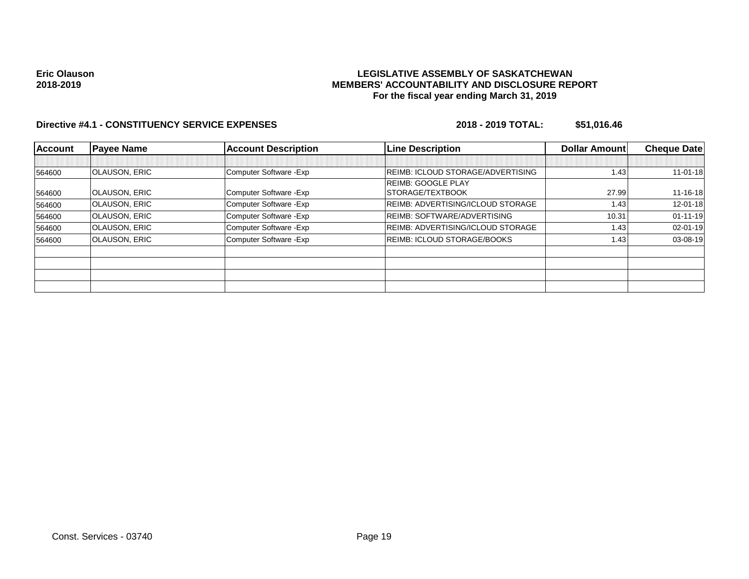## **LEGISLATIVE ASSEMBLY OF SASKATCHEWAN MEMBERS' ACCOUNTABILITY AND DISCLOSURE REPORT For the fiscal year ending March 31, 2019**

| <b>Account</b> | <b>Payee Name</b>    | <b>Account Description</b> | <b>Line Description</b>                  | Dollar Amount | <b>Cheque Date</b> |
|----------------|----------------------|----------------------------|------------------------------------------|---------------|--------------------|
|                |                      |                            |                                          |               |                    |
| 564600         | <b>OLAUSON, ERIC</b> | Computer Software - Exp    | <b>REIMB: ICLOUD STORAGE/ADVERTISING</b> | 1.43          | $11 - 01 - 18$     |
|                |                      |                            | <b>REIMB: GOOGLE PLAY</b>                |               |                    |
| 564600         | <b>OLAUSON, ERIC</b> | Computer Software - Exp    | STORAGE/TEXTBOOK                         | 27.99         | $11 - 16 - 18$     |
| 564600         | <b>OLAUSON, ERIC</b> | Computer Software - Exp    | <b>REIMB: ADVERTISING/ICLOUD STORAGE</b> | 1.43          | $12 - 01 - 18$     |
| 564600         | <b>OLAUSON, ERIC</b> | Computer Software - Exp    | <b>REIMB: SOFTWARE/ADVERTISING</b>       | 10.31         | $01 - 11 - 19$     |
| 564600         | <b>OLAUSON, ERIC</b> | Computer Software - Exp    | <b>REIMB: ADVERTISING/ICLOUD STORAGE</b> | 1.43          | 02-01-19           |
| 564600         | <b>OLAUSON, ERIC</b> | Computer Software - Exp    | <b>REIMB: ICLOUD STORAGE/BOOKS</b>       | 1.43          | 03-08-19           |
|                |                      |                            |                                          |               |                    |
|                |                      |                            |                                          |               |                    |
|                |                      |                            |                                          |               |                    |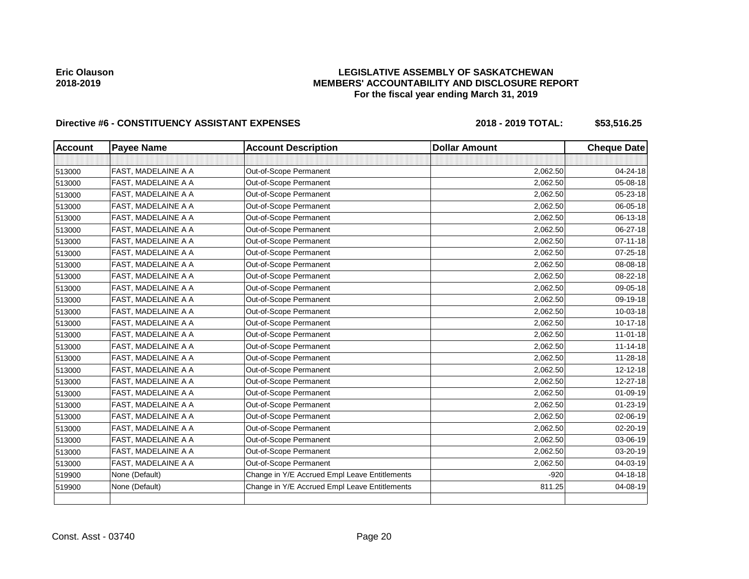# **LEGISLATIVE ASSEMBLY OF SASKATCHEWAN MEMBERS' ACCOUNTABILITY AND DISCLOSURE REPORT For the fiscal year ending March 31, 2019**

| <b>Account</b> | <b>Payee Name</b>   | <b>Account Description</b>                    | <b>Dollar Amount</b> | <b>Cheque Date</b> |
|----------------|---------------------|-----------------------------------------------|----------------------|--------------------|
|                |                     |                                               |                      |                    |
| 513000         | FAST, MADELAINE A A | Out-of-Scope Permanent                        | 2,062.50             | 04-24-18           |
| 513000         | FAST, MADELAINE A A | Out-of-Scope Permanent                        | 2,062.50             | 05-08-18           |
| 513000         | FAST, MADELAINE A A | Out-of-Scope Permanent                        | 2,062.50             | 05-23-18           |
| 513000         | FAST, MADELAINE A A | Out-of-Scope Permanent                        | 2,062.50             | 06-05-18           |
| 513000         | FAST, MADELAINE A A | Out-of-Scope Permanent                        | 2,062.50             | 06-13-18           |
| 513000         | FAST, MADELAINE A A | Out-of-Scope Permanent                        | 2,062.50             | 06-27-18           |
| 513000         | FAST, MADELAINE A A | Out-of-Scope Permanent                        | 2,062.50             | $07 - 11 - 18$     |
| 513000         | FAST, MADELAINE A A | Out-of-Scope Permanent                        | 2,062.50             | 07-25-18           |
| 513000         | FAST, MADELAINE A A | Out-of-Scope Permanent                        | 2,062.50             | 08-08-18           |
| 513000         | FAST, MADELAINE A A | Out-of-Scope Permanent                        | 2,062.50             | 08-22-18           |
| 513000         | FAST, MADELAINE A A | Out-of-Scope Permanent                        | 2,062.50             | 09-05-18           |
| 513000         | FAST, MADELAINE A A | Out-of-Scope Permanent                        | 2,062.50             | 09-19-18           |
| 513000         | FAST, MADELAINE A A | Out-of-Scope Permanent                        | 2,062.50             | 10-03-18           |
| 513000         | FAST, MADELAINE A A | Out-of-Scope Permanent                        | 2,062.50             | 10-17-18           |
| 513000         | FAST, MADELAINE A A | Out-of-Scope Permanent                        | 2,062.50             | $11 - 01 - 18$     |
| 513000         | FAST, MADELAINE A A | Out-of-Scope Permanent                        | 2,062.50             | $11 - 14 - 18$     |
| 513000         | FAST, MADELAINE A A | Out-of-Scope Permanent                        | 2,062.50             | 11-28-18           |
| 513000         | FAST, MADELAINE A A | Out-of-Scope Permanent                        | 2,062.50             | $12 - 12 - 18$     |
| 513000         | FAST, MADELAINE A A | Out-of-Scope Permanent                        | 2,062.50             | 12-27-18           |
| 513000         | FAST, MADELAINE A A | Out-of-Scope Permanent                        | 2,062.50             | $01 - 09 - 19$     |
| 513000         | FAST, MADELAINE A A | Out-of-Scope Permanent                        | 2,062.50             | $01 - 23 - 19$     |
| 513000         | FAST, MADELAINE A A | Out-of-Scope Permanent                        | 2,062.50             | 02-06-19           |
| 513000         | FAST, MADELAINE A A | Out-of-Scope Permanent                        | 2,062.50             | 02-20-19           |
| 513000         | FAST, MADELAINE A A | Out-of-Scope Permanent                        | 2,062.50             | 03-06-19           |
| 513000         | FAST, MADELAINE A A | Out-of-Scope Permanent                        | 2,062.50             | 03-20-19           |
| 513000         | FAST, MADELAINE A A | Out-of-Scope Permanent                        | 2,062.50             | 04-03-19           |
| 519900         | None (Default)      | Change in Y/E Accrued Empl Leave Entitlements | $-920$               | $04 - 18 - 18$     |
| 519900         | None (Default)      | Change in Y/E Accrued Empl Leave Entitlements | 811.25               | 04-08-19           |
|                |                     |                                               |                      |                    |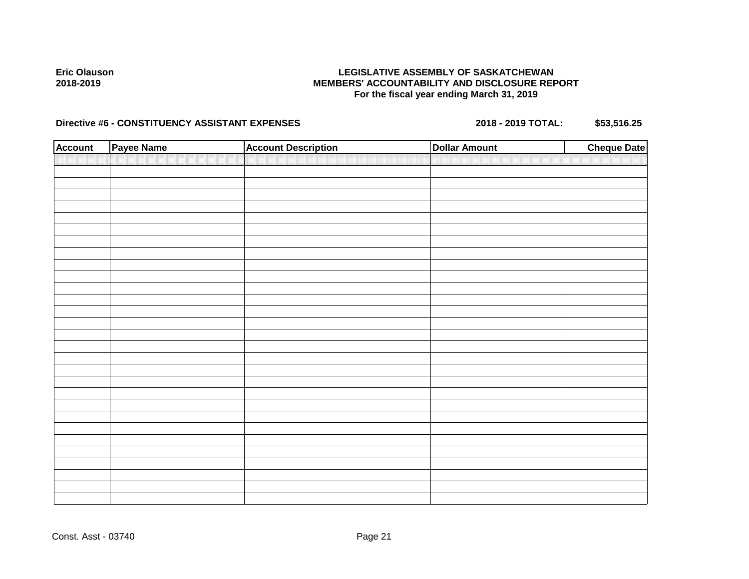## **LEGISLATIVE ASSEMBLY OF SASKATCHEWAN MEMBERS' ACCOUNTABILITY AND DISCLOSURE REPORT For the fiscal year ending March 31, 2019**

| <b>Account</b> | Payee Name | <b>Account Description</b> | <b>Dollar Amount</b> | <b>Cheque Date</b> |
|----------------|------------|----------------------------|----------------------|--------------------|
|                |            |                            |                      |                    |
|                |            |                            |                      |                    |
|                |            |                            |                      |                    |
|                |            |                            |                      |                    |
|                |            |                            |                      |                    |
|                |            |                            |                      |                    |
|                |            |                            |                      |                    |
|                |            |                            |                      |                    |
|                |            |                            |                      |                    |
|                |            |                            |                      |                    |
|                |            |                            |                      |                    |
|                |            |                            |                      |                    |
|                |            |                            |                      |                    |
|                |            |                            |                      |                    |
|                |            |                            |                      |                    |
|                |            |                            |                      |                    |
|                |            |                            |                      |                    |
|                |            |                            |                      |                    |
|                |            |                            |                      |                    |
|                |            |                            |                      |                    |
|                |            |                            |                      |                    |
|                |            |                            |                      |                    |
|                |            |                            |                      |                    |
|                |            |                            |                      |                    |
|                |            |                            |                      |                    |
|                |            |                            |                      |                    |
|                |            |                            |                      |                    |
|                |            |                            |                      |                    |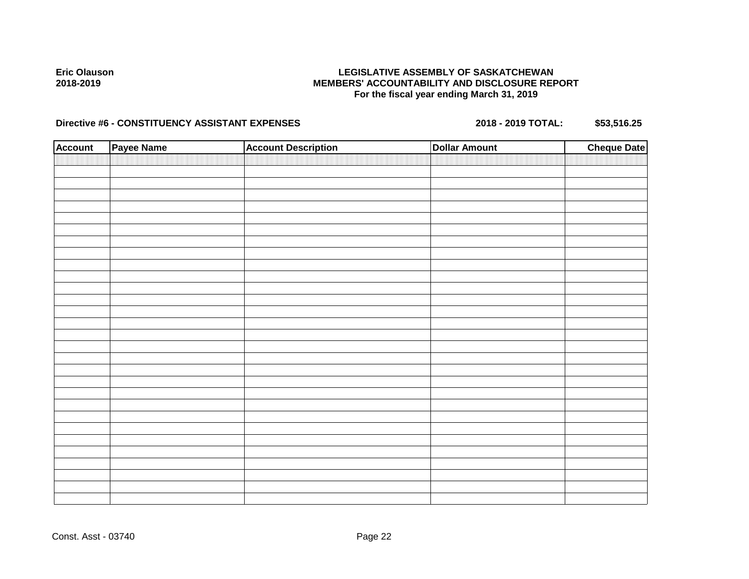## **LEGISLATIVE ASSEMBLY OF SASKATCHEWAN MEMBERS' ACCOUNTABILITY AND DISCLOSURE REPORT For the fiscal year ending March 31, 2019**

| <b>Account</b> | Payee Name | <b>Account Description</b> | <b>Dollar Amount</b> | <b>Cheque Date</b> |
|----------------|------------|----------------------------|----------------------|--------------------|
|                |            |                            |                      |                    |
|                |            |                            |                      |                    |
|                |            |                            |                      |                    |
|                |            |                            |                      |                    |
|                |            |                            |                      |                    |
|                |            |                            |                      |                    |
|                |            |                            |                      |                    |
|                |            |                            |                      |                    |
|                |            |                            |                      |                    |
|                |            |                            |                      |                    |
|                |            |                            |                      |                    |
|                |            |                            |                      |                    |
|                |            |                            |                      |                    |
|                |            |                            |                      |                    |
|                |            |                            |                      |                    |
|                |            |                            |                      |                    |
|                |            |                            |                      |                    |
|                |            |                            |                      |                    |
|                |            |                            |                      |                    |
|                |            |                            |                      |                    |
|                |            |                            |                      |                    |
|                |            |                            |                      |                    |
|                |            |                            |                      |                    |
|                |            |                            |                      |                    |
|                |            |                            |                      |                    |
|                |            |                            |                      |                    |
|                |            |                            |                      |                    |
|                |            |                            |                      |                    |
|                |            |                            |                      |                    |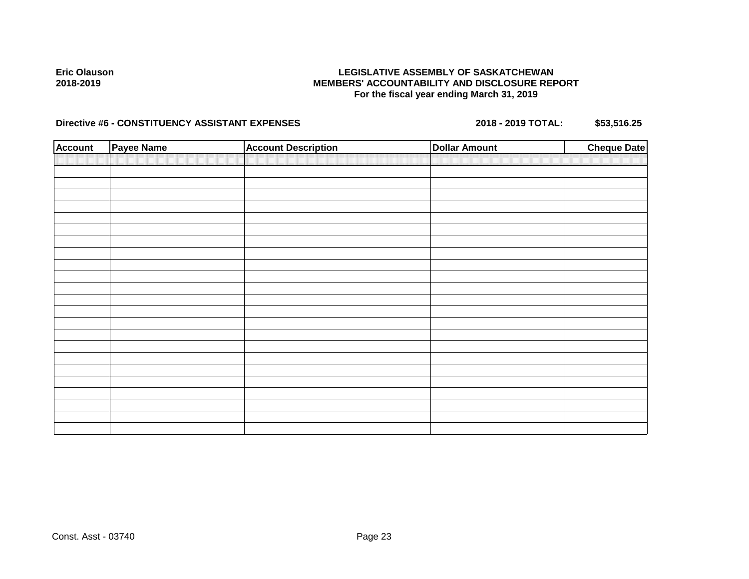## **LEGISLATIVE ASSEMBLY OF SASKATCHEWAN MEMBERS' ACCOUNTABILITY AND DISCLOSURE REPORT For the fiscal year ending March 31, 2019**

| <b>Account</b> | Payee Name | <b>Account Description</b> | <b>Dollar Amount</b> | <b>Cheque Date</b> |
|----------------|------------|----------------------------|----------------------|--------------------|
|                |            |                            |                      |                    |
|                |            |                            |                      |                    |
|                |            |                            |                      |                    |
|                |            |                            |                      |                    |
|                |            |                            |                      |                    |
|                |            |                            |                      |                    |
|                |            |                            |                      |                    |
|                |            |                            |                      |                    |
|                |            |                            |                      |                    |
|                |            |                            |                      |                    |
|                |            |                            |                      |                    |
|                |            |                            |                      |                    |
|                |            |                            |                      |                    |
|                |            |                            |                      |                    |
|                |            |                            |                      |                    |
|                |            |                            |                      |                    |
|                |            |                            |                      |                    |
|                |            |                            |                      |                    |
|                |            |                            |                      |                    |
|                |            |                            |                      |                    |
|                |            |                            |                      |                    |
|                |            |                            |                      |                    |
|                |            |                            |                      |                    |
|                |            |                            |                      |                    |